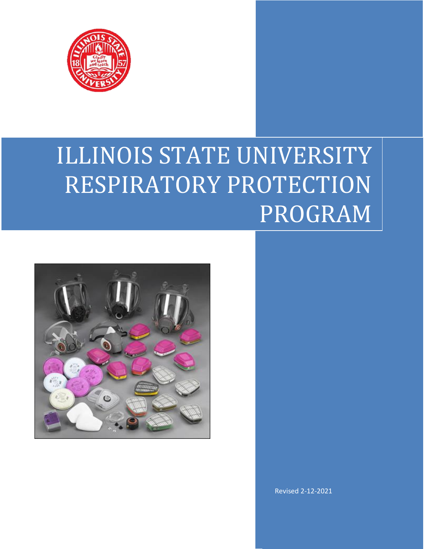

# ILLINOIS STATE UNIVERSITY RESPIRATORY PROTECTION PROGRAM



Revised 2-12-2021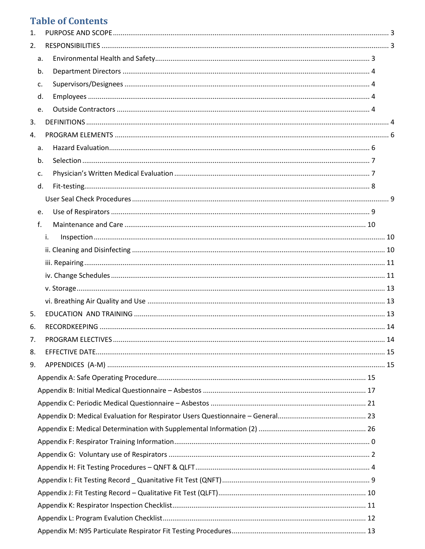# **Table of Contents**

| 1. |    |    |  |
|----|----|----|--|
| 2. |    |    |  |
|    | a. |    |  |
|    | b. |    |  |
|    | c. |    |  |
|    | d. |    |  |
|    | e. |    |  |
| 3. |    |    |  |
| 4. |    |    |  |
|    | a. |    |  |
|    | b. |    |  |
|    | c. |    |  |
|    | d. |    |  |
|    |    |    |  |
|    | e. |    |  |
|    | f. |    |  |
|    |    | i. |  |
|    |    |    |  |
|    |    |    |  |
|    |    |    |  |
|    |    |    |  |
|    |    |    |  |
| 5. |    |    |  |
| 6. |    |    |  |
| 7. |    |    |  |
| 8. |    |    |  |
| 9. |    |    |  |
|    |    |    |  |
|    |    |    |  |
|    |    |    |  |
|    |    |    |  |
|    |    |    |  |
|    |    |    |  |
|    |    |    |  |
|    |    |    |  |
|    |    |    |  |
|    |    |    |  |
|    |    |    |  |
|    |    |    |  |
|    |    |    |  |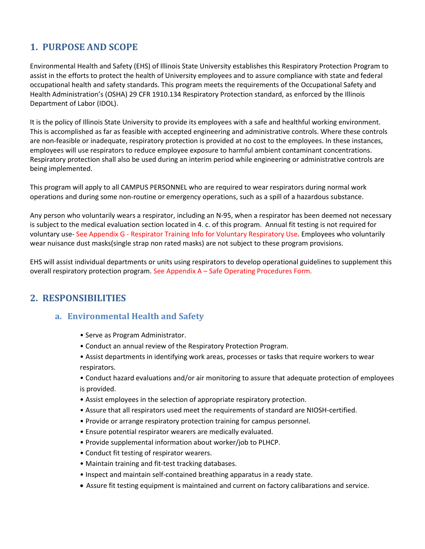# <span id="page-2-0"></span>**1. PURPOSE AND SCOPE**

Environmental Health and Safety (EHS) of Illinois State University establishes this Respiratory Protection Program to assist in the efforts to protect the health of University employees and to assure compliance with state and federal occupational health and safety standards. This program meets the requirements of the Occupational Safety and Health Administration's (OSHA) 29 CFR 1910.134 Respiratory Protection standard, as enforced by the Illinois Department of Labor (IDOL).

It is the policy of Illinois State University to provide its employees with a safe and healthful working environment. This is accomplished as far as feasible with accepted engineering and administrative controls. Where these controls are non-feasible or inadequate, respiratory protection is provided at no cost to the employees. In these instances, employees will use respirators to reduce employee exposure to harmful ambient contaminant concentrations. Respiratory protection shall also be used during an interim period while engineering or administrative controls are being implemented.

This program will apply to all CAMPUS PERSONNEL who are required to wear respirators during normal work operations and during some non-routine or emergency operations, such as a spill of a hazardous substance.

Any person who voluntarily wears a respirator, including an N-95, when a respirator has been deemed not necessary is subject to the medical evaluation section located in 4. c. of this program. Annual fit testing is not required for voluntary use- See Appendix G - Respirator Training Info for Voluntary Respiratory Use. Employees who voluntarily wear nuisance dust masks(single strap non rated masks) are not subject to these program provisions.

EHS will assist individual departments or units using respirators to develop operational guidelines to supplement this overall respiratory protection program. See Appendix A – Safe Operating Procedures Form.

# <span id="page-2-2"></span><span id="page-2-1"></span>**2. RESPONSIBILITIES**

# **a. Environmental Health and Safety**

- Serve as Program Administrator.
- Conduct an annual review of the Respiratory Protection Program.
- Assist departments in identifying work areas, processes or tasks that require workers to wear respirators.
- Conduct hazard evaluations and/or air monitoring to assure that adequate protection of employees is provided.
- Assist employees in the selection of appropriate respiratory protection.
- Assure that all respirators used meet the requirements of standard are NIOSH-certified.
- Provide or arrange respiratory protection training for campus personnel.
- Ensure potential respirator wearers are medically evaluated.
- Provide supplemental information about worker/job to PLHCP.
- Conduct fit testing of respirator wearers.
- Maintain training and fit-test tracking databases.
- Inspect and maintain self-contained breathing apparatus in a ready state.
- Assure fit testing equipment is maintained and current on factory calibarations and service.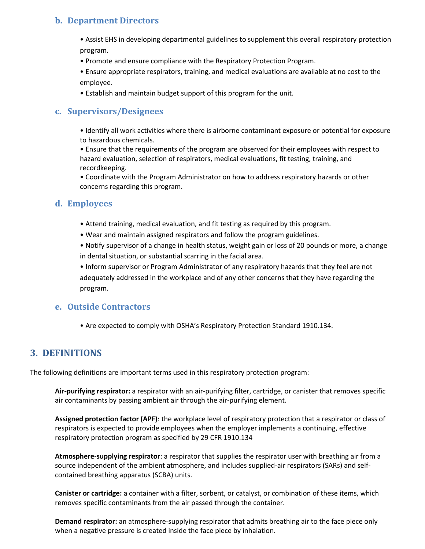# <span id="page-3-0"></span>**b. Department Directors**

• Assist EHS in developing departmental guidelines to supplement this overall respiratory protection program.

• Promote and ensure compliance with the Respiratory Protection Program.

• Ensure appropriate respirators, training, and medical evaluations are available at no cost to the employee.

• Establish and maintain budget support of this program for the unit.

# <span id="page-3-1"></span>**c. Supervisors/Designees**

• Identify all work activities where there is airborne contaminant exposure or potential for exposure to hazardous chemicals.

• Ensure that the requirements of the program are observed for their employees with respect to hazard evaluation, selection of respirators, medical evaluations, fit testing, training, and recordkeeping.

• Coordinate with the Program Administrator on how to address respiratory hazards or other concerns regarding this program.

### <span id="page-3-2"></span>**d. Employees**

- Attend training, medical evaluation, and fit testing as required by this program.
- Wear and maintain assigned respirators and follow the program guidelines.

• Notify supervisor of a change in health status, weight gain or loss of 20 pounds or more, a change in dental situation, or substantial scarring in the facial area.

• Inform supervisor or Program Administrator of any respiratory hazards that they feel are not adequately addressed in the workplace and of any other concerns that they have regarding the program.

### <span id="page-3-3"></span>**e. Outside Contractors**

• Are expected to comply with OSHA's Respiratory Protection Standard 1910.134.

# <span id="page-3-4"></span>**3. DEFINITIONS**

The following definitions are important terms used in this respiratory protection program:

**Air-purifying respirator:** a respirator with an air-purifying filter, cartridge, or canister that removes specific air contaminants by passing ambient air through the air-purifying element.

**Assigned protection factor (APF)**: the workplace level of respiratory protection that a respirator or class of respirators is expected to provide employees when the employer implements a continuing, effective respiratory protection program as specified by 29 CFR 1910.134

**Atmosphere-supplying respirator**: a respirator that supplies the respirator user with breathing air from a source independent of the ambient atmosphere, and includes supplied-air respirators (SARs) and selfcontained breathing apparatus (SCBA) units.

**Canister or cartridge:** a container with a filter, sorbent, or catalyst, or combination of these items, which removes specific contaminants from the air passed through the container.

**Demand respirator:** an atmosphere-supplying respirator that admits breathing air to the face piece only when a negative pressure is created inside the face piece by inhalation.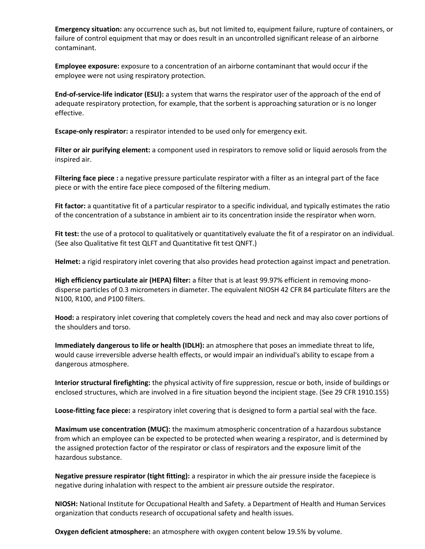**Emergency situation:** any occurrence such as, but not limited to, equipment failure, rupture of containers, or failure of control equipment that may or does result in an uncontrolled significant release of an airborne contaminant.

**Employee exposure:** exposure to a concentration of an airborne contaminant that would occur if the employee were not using respiratory protection.

**End-of-service-life indicator (ESLI):** a system that warns the respirator user of the approach of the end of adequate respiratory protection, for example, that the sorbent is approaching saturation or is no longer effective.

**Escape-only respirator:** a respirator intended to be used only for emergency exit.

**Filter or air purifying element:** a component used in respirators to remove solid or liquid aerosols from the inspired air.

**Filtering face piece :** a negative pressure particulate respirator with a filter as an integral part of the face piece or with the entire face piece composed of the filtering medium.

**Fit factor:** a quantitative fit of a particular respirator to a specific individual, and typically estimates the ratio of the concentration of a substance in ambient air to its concentration inside the respirator when worn.

**Fit test:** the use of a protocol to qualitatively or quantitatively evaluate the fit of a respirator on an individual. (See also Qualitative fit test QLFT and Quantitative fit test QNFT.)

**Helmet:** a rigid respiratory inlet covering that also provides head protection against impact and penetration.

**High efficiency particulate air (HEPA) filter:** a filter that is at least 99.97% efficient in removing monodisperse particles of 0.3 micrometers in diameter. The equivalent NIOSH 42 CFR 84 particulate filters are the N100, R100, and P100 filters.

**Hood:** a respiratory inlet covering that completely covers the head and neck and may also cover portions of the shoulders and torso.

**Immediately dangerous to life or health (IDLH):** an atmosphere that poses an immediate threat to life, would cause irreversible adverse health effects, or would impair an individual's ability to escape from a dangerous atmosphere.

**Interior structural firefighting:** the physical activity of fire suppression, rescue or both, inside of buildings or enclosed structures, which are involved in a fire situation beyond the incipient stage. (See 29 CFR 1910.155)

**Loose-fitting face piece:** a respiratory inlet covering that is designed to form a partial seal with the face.

**Maximum use concentration (MUC):** the maximum atmospheric concentration of a hazardous substance from which an employee can be expected to be protected when wearing a respirator, and is determined by the assigned protection factor of the respirator or class of respirators and the exposure limit of the hazardous substance.

**Negative pressure respirator (tight fitting):** a respirator in which the air pressure inside the facepiece is negative during inhalation with respect to the ambient air pressure outside the respirator.

**NIOSH:** National Institute for Occupational Health and Safety. a Department of Health and Human Services organization that conducts research of occupational safety and health issues.

**Oxygen deficient atmosphere:** an atmosphere with oxygen content below 19.5% by volume.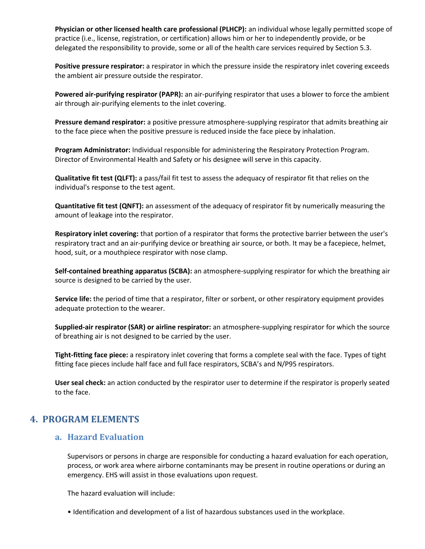**Physician or other licensed health care professional (PLHCP):** an individual whose legally permitted scope of practice (i.e., license, registration, or certification) allows him or her to independently provide, or be delegated the responsibility to provide, some or all of the health care services required by Section 5.3.

**Positive pressure respirator:** a respirator in which the pressure inside the respiratory inlet covering exceeds the ambient air pressure outside the respirator.

**Powered air-purifying respirator (PAPR):** an air-purifying respirator that uses a blower to force the ambient air through air-purifying elements to the inlet covering.

**Pressure demand respirator:** a positive pressure atmosphere-supplying respirator that admits breathing air to the face piece when the positive pressure is reduced inside the face piece by inhalation.

**Program Administrator:** Individual responsible for administering the Respiratory Protection Program. Director of Environmental Health and Safety or his designee will serve in this capacity.

**Qualitative fit test (QLFT):** a pass/fail fit test to assess the adequacy of respirator fit that relies on the individual's response to the test agent.

**Quantitative fit test (QNFT):** an assessment of the adequacy of respirator fit by numerically measuring the amount of leakage into the respirator.

**Respiratory inlet covering:** that portion of a respirator that forms the protective barrier between the user's respiratory tract and an air-purifying device or breathing air source, or both. It may be a facepiece, helmet, hood, suit, or a mouthpiece respirator with nose clamp.

**Self-contained breathing apparatus (SCBA):** an atmosphere-supplying respirator for which the breathing air source is designed to be carried by the user.

**Service life:** the period of time that a respirator, filter or sorbent, or other respiratory equipment provides adequate protection to the wearer.

**Supplied-air respirator (SAR) or airline respirator:** an atmosphere-supplying respirator for which the source of breathing air is not designed to be carried by the user.

**Tight-fitting face piece:** a respiratory inlet covering that forms a complete seal with the face. Types of tight fitting face pieces include half face and full face respirators, SCBA's and N/P95 respirators.

**User seal check:** an action conducted by the respirator user to determine if the respirator is properly seated to the face.

# <span id="page-5-1"></span><span id="page-5-0"></span>**4. PROGRAM ELEMENTS**

### **a. Hazard Evaluation**

Supervisors or persons in charge are responsible for conducting a hazard evaluation for each operation, process, or work area where airborne contaminants may be present in routine operations or during an emergency. EHS will assist in those evaluations upon request.

The hazard evaluation will include:

• Identification and development of a list of hazardous substances used in the workplace.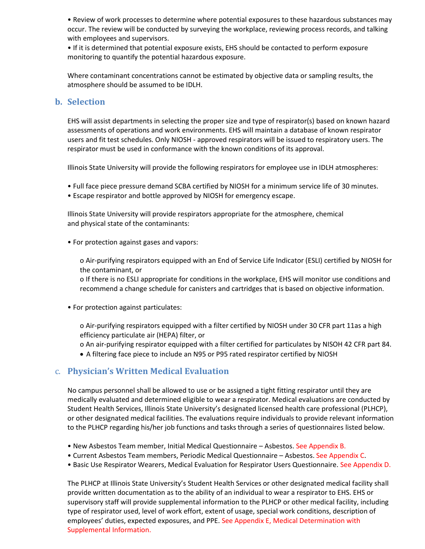• Review of work processes to determine where potential exposures to these hazardous substances may occur. The review will be conducted by surveying the workplace, reviewing process records, and talking with employees and supervisors.

• If it is determined that potential exposure exists, EHS should be contacted to perform exposure monitoring to quantify the potential hazardous exposure.

Where contaminant concentrations cannot be estimated by objective data or sampling results, the atmosphere should be assumed to be IDLH.

### <span id="page-6-0"></span>**b. Selection**

EHS will assist departments in selecting the proper size and type of respirator(s) based on known hazard assessments of operations and work environments. EHS will maintain a database of known respirator users and fit test schedules. Only NIOSH - approved respirators will be issued to respiratory users. The respirator must be used in conformance with the known conditions of its approval.

Illinois State University will provide the following respirators for employee use in IDLH atmospheres:

- Full face piece pressure demand SCBA certified by NIOSH for a minimum service life of 30 minutes.
- Escape respirator and bottle approved by NIOSH for emergency escape.

Illinois State University will provide respirators appropriate for the atmosphere, chemical and physical state of the contaminants:

• For protection against gases and vapors:

o Air-purifying respirators equipped with an End of Service Life Indicator (ESLI) certified by NIOSH for the contaminant, or

o If there is no ESLI appropriate for conditions in the workplace, EHS will monitor use conditions and recommend a change schedule for canisters and cartridges that is based on objective information.

• For protection against particulates:

o Air-purifying respirators equipped with a filter certified by NIOSH under 30 CFR part 11as a high efficiency particulate air (HEPA) filter, or

o An air-purifying respirator equipped with a filter certified for particulates by NISOH 42 CFR part 84.

• A filtering face piece to include an N95 or P95 rated respirator certified by NIOSH

### <span id="page-6-1"></span>c. **Physician's Written Medical Evaluation**

No campus personnel shall be allowed to use or be assigned a tight fitting respirator until they are medically evaluated and determined eligible to wear a respirator. Medical evaluations are conducted by Student Health Services, Illinois State University's designated licensed health care professional (PLHCP), or other designated medical facilities. The evaluations require individuals to provide relevant information to the PLHCP regarding his/her job functions and tasks through a series of questionnaires listed below.

- New Asbestos Team member, Initial Medical Questionnaire Asbestos. See Appendix B.
- Current Asbestos Team members, Periodic Medical Questionnaire Asbestos. See Appendix C.
- Basic Use Respirator Wearers, Medical Evaluation for Respirator Users Questionnaire. See Appendix D.

The PLHCP at Illinois State University's Student Health Services or other designated medical facility shall provide written documentation as to the ability of an individual to wear a respirator to EHS. EHS or supervisory staff will provide supplemental information to the PLHCP or other medical facility, including type of respirator used, level of work effort, extent of usage, special work conditions, description of employees' duties, expected exposures, and PPE. See Appendix E, Medical Determination with Supplemental Information.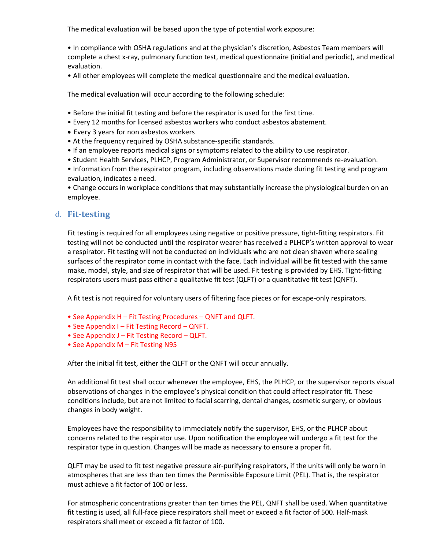The medical evaluation will be based upon the type of potential work exposure:

• In compliance with OSHA regulations and at the physician's discretion, Asbestos Team members will complete a chest x-ray, pulmonary function test, medical questionnaire (initial and periodic), and medical evaluation.

• All other employees will complete the medical questionnaire and the medical evaluation.

The medical evaluation will occur according to the following schedule:

- Before the initial fit testing and before the respirator is used for the first time.
- Every 12 months for licensed asbestos workers who conduct asbestos abatement.
- Every 3 years for non asbestos workers
- At the frequency required by OSHA substance-specific standards.
- If an employee reports medical signs or symptoms related to the ability to use respirator.
- Student Health Services, PLHCP, Program Administrator, or Supervisor recommends re-evaluation.
- Information from the respirator program, including observations made during fit testing and program evaluation, indicates a need.
- Change occurs in workplace conditions that may substantially increase the physiological burden on an employee.

### <span id="page-7-0"></span>d. **Fit-testing**

Fit testing is required for all employees using negative or positive pressure, tight-fitting respirators. Fit testing will not be conducted until the respirator wearer has received a PLHCP's written approval to wear a respirator. Fit testing will not be conducted on individuals who are not clean shaven where sealing surfaces of the respirator come in contact with the face. Each individual will be fit tested with the same make, model, style, and size of respirator that will be used. Fit testing is provided by EHS. Tight-fitting respirators users must pass either a qualitative fit test (QLFT) or a quantitative fit test (QNFT).

A fit test is not required for voluntary users of filtering face pieces or for escape-only respirators.

- See Appendix H Fit Testing Procedures QNFT and QLFT.
- See Appendix I Fit Testing Record QNFT.
- See Appendix J Fit Testing Record QLFT.
- See Appendix M Fit Testing N95

After the initial fit test, either the QLFT or the QNFT will occur annually.

An additional fit test shall occur whenever the employee, EHS, the PLHCP, or the supervisor reports visual observations of changes in the employee's physical condition that could affect respirator fit. These conditions include, but are not limited to facial scarring, dental changes, cosmetic surgery, or obvious changes in body weight.

Employees have the responsibility to immediately notify the supervisor, EHS, or the PLHCP about concerns related to the respirator use. Upon notification the employee will undergo a fit test for the respirator type in question. Changes will be made as necessary to ensure a proper fit.

QLFT may be used to fit test negative pressure air-purifying respirators, if the units will only be worn in atmospheres that are less than ten times the Permissible Exposure Limit (PEL). That is, the respirator must achieve a fit factor of 100 or less.

For atmospheric concentrations greater than ten times the PEL, QNFT shall be used. When quantitative fit testing is used, all full-face piece respirators shall meet or exceed a fit factor of 500. Half-mask respirators shall meet or exceed a fit factor of 100.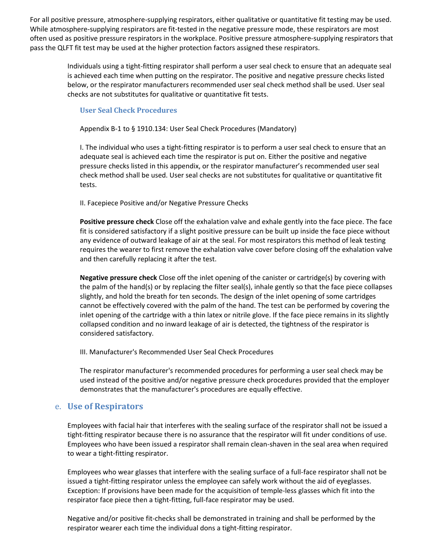For all positive pressure, atmosphere-supplying respirators, either qualitative or quantitative fit testing may be used. While atmosphere-supplying respirators are fit-tested in the negative pressure mode, these respirators are most often used as positive pressure respirators in the workplace. Positive pressure atmosphere-supplying respirators that pass the QLFT fit test may be used at the higher protection factors assigned these respirators.

> Individuals using a tight-fitting respirator shall perform a user seal check to ensure that an adequate seal is achieved each time when putting on the respirator. The positive and negative pressure checks listed below, or the respirator manufacturers recommended user seal check method shall be used. User seal checks are not substitutes for qualitative or quantitative fit tests.

### <span id="page-8-0"></span>**User Seal Check Procedures**

Appendix B-1 to § 1910.134: User Seal Check Procedures (Mandatory)

I. The individual who uses a tight-fitting respirator is to perform a user seal check to ensure that an adequate seal is achieved each time the respirator is put on. Either the positive and negative pressure checks listed in this appendix, or the respirator manufacturer's recommended user seal check method shall be used. User seal checks are not substitutes for qualitative or quantitative fit tests.

II. Facepiece Positive and/or Negative Pressure Checks

**Positive pressure check** Close off the exhalation valve and exhale gently into the face piece. The face fit is considered satisfactory if a slight positive pressure can be built up inside the face piece without any evidence of outward leakage of air at the seal. For most respirators this method of leak testing requires the wearer to first remove the exhalation valve cover before closing off the exhalation valve and then carefully replacing it after the test.

**Negative pressure check** Close off the inlet opening of the canister or cartridge(s) by covering with the palm of the hand(s) or by replacing the filter seal(s), inhale gently so that the face piece collapses slightly, and hold the breath for ten seconds. The design of the inlet opening of some cartridges cannot be effectively covered with the palm of the hand. The test can be performed by covering the inlet opening of the cartridge with a thin latex or nitrile glove. If the face piece remains in its slightly collapsed condition and no inward leakage of air is detected, the tightness of the respirator is considered satisfactory.

III. Manufacturer's Recommended User Seal Check Procedures

The respirator manufacturer's recommended procedures for performing a user seal check may be used instead of the positive and/or negative pressure check procedures provided that the employer demonstrates that the manufacturer's procedures are equally effective.

### <span id="page-8-1"></span>e. **Use of Respirators**

Employees with facial hair that interferes with the sealing surface of the respirator shall not be issued a tight-fitting respirator because there is no assurance that the respirator will fit under conditions of use. Employees who have been issued a respirator shall remain clean-shaven in the seal area when required to wear a tight-fitting respirator.

Employees who wear glasses that interfere with the sealing surface of a full-face respirator shall not be issued a tight-fitting respirator unless the employee can safely work without the aid of eyeglasses. Exception: If provisions have been made for the acquisition of temple-less glasses which fit into the respirator face piece then a tight-fitting, full-face respirator may be used.

Negative and/or positive fit-checks shall be demonstrated in training and shall be performed by the respirator wearer each time the individual dons a tight-fitting respirator.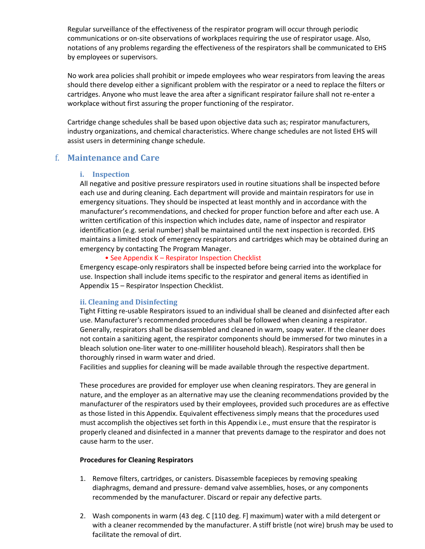Regular surveillance of the effectiveness of the respirator program will occur through periodic communications or on-site observations of workplaces requiring the use of respirator usage. Also, notations of any problems regarding the effectiveness of the respirators shall be communicated to EHS by employees or supervisors.

No work area policies shall prohibit or impede employees who wear respirators from leaving the areas should there develop either a significant problem with the respirator or a need to replace the filters or cartridges. Anyone who must leave the area after a significant respirator failure shall not re-enter a workplace without first assuring the proper functioning of the respirator.

Cartridge change schedules shall be based upon objective data such as; respirator manufacturers, industry organizations, and chemical characteristics. Where change schedules are not listed EHS will assist users in determining change schedule.

### <span id="page-9-1"></span><span id="page-9-0"></span>f. **Maintenance and Care**

#### **i. Inspection**

All negative and positive pressure respirators used in routine situations shall be inspected before each use and during cleaning. Each department will provide and maintain respirators for use in emergency situations. They should be inspected at least monthly and in accordance with the manufacturer's recommendations, and checked for proper function before and after each use. A written certification of this inspection which includes date, name of inspector and respirator identification (e.g. serial number) shall be maintained until the next inspection is recorded. EHS maintains a limited stock of emergency respirators and cartridges which may be obtained during an emergency by contacting The Program Manager.

### • See Appendix K – Respirator Inspection Checklist

Emergency escape-only respirators shall be inspected before being carried into the workplace for use. Inspection shall include items specific to the respirator and general items as identified in Appendix 15 – Respirator Inspection Checklist.

### <span id="page-9-2"></span>**ii. Cleaning and Disinfecting**

Tight Fitting re-usable Respirators issued to an individual shall be cleaned and disinfected after each use. Manufacturer's recommended procedures shall be followed when cleaning a respirator. Generally, respirators shall be disassembled and cleaned in warm, soapy water. If the cleaner does not contain a sanitizing agent, the respirator components should be immersed for two minutes in a bleach solution one-liter water to one-milliliter household bleach). Respirators shall then be thoroughly rinsed in warm water and dried.

Facilities and supplies for cleaning will be made available through the respective department.

These procedures are provided for employer use when cleaning respirators. They are general in nature, and the employer as an alternative may use the cleaning recommendations provided by the manufacturer of the respirators used by their employees, provided such procedures are as effective as those listed in this Appendix. Equivalent effectiveness simply means that the procedures used must accomplish the objectives set forth in this Appendix i.e., must ensure that the respirator is properly cleaned and disinfected in a manner that prevents damage to the respirator and does not cause harm to the user.

### **Procedures for Cleaning Respirators**

- 1. Remove filters, cartridges, or canisters. Disassemble facepieces by removing speaking diaphragms, demand and pressure- demand valve assemblies, hoses, or any components recommended by the manufacturer. Discard or repair any defective parts.
- 2. Wash components in warm (43 deg. C [110 deg. F] maximum) water with a mild detergent or with a cleaner recommended by the manufacturer. A stiff bristle (not wire) brush may be used to facilitate the removal of dirt.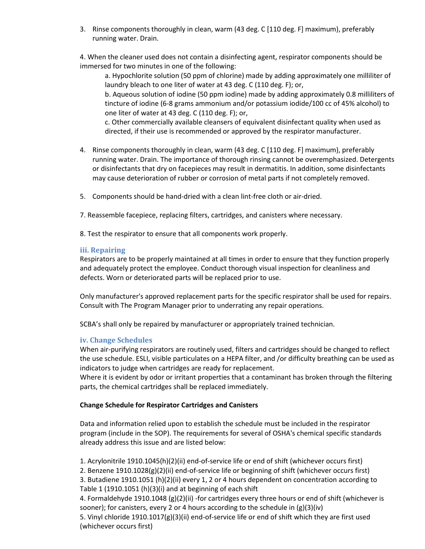3. Rinse components thoroughly in clean, warm (43 deg. C [110 deg. F] maximum), preferably running water. Drain.

4. When the cleaner used does not contain a disinfecting agent, respirator components should be immersed for two minutes in one of the following:

a. Hypochlorite solution (50 ppm of chlorine) made by adding approximately one milliliter of laundry bleach to one liter of water at 43 deg. C (110 deg. F); or,

b. Aqueous solution of iodine (50 ppm iodine) made by adding approximately 0.8 milliliters of tincture of iodine (6-8 grams ammonium and/or potassium iodide/100 cc of 45% alcohol) to one liter of water at 43 deg. C (110 deg. F); or,

c. Other commercially available cleansers of equivalent disinfectant quality when used as directed, if their use is recommended or approved by the respirator manufacturer.

- 4. Rinse components thoroughly in clean, warm (43 deg. C [110 deg. F] maximum), preferably running water. Drain. The importance of thorough rinsing cannot be overemphasized. Detergents or disinfectants that dry on facepieces may result in dermatitis. In addition, some disinfectants may cause deterioration of rubber or corrosion of metal parts if not completely removed.
- 5. Components should be hand-dried with a clean lint-free cloth or air-dried.
- 7. Reassemble facepiece, replacing filters, cartridges, and canisters where necessary.
- 8. Test the respirator to ensure that all components work properly.

### <span id="page-10-0"></span>**iii. Repairing**

Respirators are to be properly maintained at all times in order to ensure that they function properly and adequately protect the employee. Conduct thorough visual inspection for cleanliness and defects. Worn or deteriorated parts will be replaced prior to use.

Only manufacturer's approved replacement parts for the specific respirator shall be used for repairs. Consult with The Program Manager prior to underrating any repair operations.

SCBA's shall only be repaired by manufacturer or appropriately trained technician.

### <span id="page-10-1"></span>**iv. Change Schedules**

When air-purifying respirators are routinely used, filters and cartridges should be changed to reflect the use schedule. ESLI, visible particulates on a HEPA filter, and /or difficulty breathing can be used as indicators to judge when cartridges are ready for replacement.

Where it is evident by odor or irritant properties that a contaminant has broken through the filtering parts, the chemical cartridges shall be replaced immediately.

### **Change Schedule for Respirator Cartridges and Canisters**

Data and information relied upon to establish the schedule must be included in the respirator program (include in the SOP). The requirements for several of OSHA's chemical specific standards already address this issue and are listed below:

1. Acrylonitrile 1910.1045(h)(2)(ii) end-of-service life or end of shift (whichever occurs first)

2. Benzene 1910.1028(g)(2)(ii) end-of-service life or beginning of shift (whichever occurs first)

3. Butadiene 1910.1051 (h)(2)(ii) every 1, 2 or 4 hours dependent on concentration according to Table 1 (1910.1051 (h)(3)(i) and at beginning of each shift

4. Formaldehyde 1910.1048 (g)(2)(ii) -for cartridges every three hours or end of shift (whichever is sooner); for canisters, every 2 or 4 hours according to the schedule in (g)(3)(iv)

5. Vinyl chloride 1910.1017(g)(3)(ii) end-of-service life or end of shift which they are first used (whichever occurs first)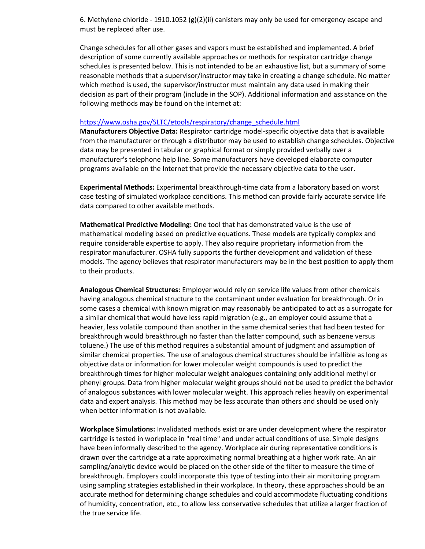6. Methylene chloride - 1910.1052 (g)(2)(ii) canisters may only be used for emergency escape and must be replaced after use.

Change schedules for all other gases and vapors must be established and implemented. A brief description of some currently available approaches or methods for respirator cartridge change schedules is presented below. This is not intended to be an exhaustive list, but a summary of some reasonable methods that a supervisor/instructor may take in creating a change schedule. No matter which method is used, the supervisor/instructor must maintain any data used in making their decision as part of their program (include in the SOP). Additional information and assistance on the following methods may be found on the internet at:

#### [https://www.osha.gov/SLTC/etools/respiratory/change\\_schedule.html](https://www.osha.gov/SLTC/etools/respiratory/change_schedule.html)

**Manufacturers Objective Data:** Respirator cartridge model-specific objective data that is available from the manufacturer or through a distributor may be used to establish change schedules. Objective data may be presented in tabular or graphical format or simply provided verbally over a manufacturer's telephone help line. Some manufacturers have developed elaborate computer programs available on the Internet that provide the necessary objective data to the user.

**Experimental Methods:** Experimental breakthrough-time data from a laboratory based on worst case testing of simulated workplace conditions. This method can provide fairly accurate service life data compared to other available methods.

**Mathematical Predictive Modeling:** One tool that has demonstrated value is the use of mathematical modeling based on predictive equations. These models are typically complex and require considerable expertise to apply. They also require proprietary information from the respirator manufacturer. OSHA fully supports the further development and validation of these models. The agency believes that respirator manufacturers may be in the best position to apply them to their products.

**Analogous Chemical Structures:** Employer would rely on service life values from other chemicals having analogous chemical structure to the contaminant under evaluation for breakthrough. Or in some cases a chemical with known migration may reasonably be anticipated to act as a surrogate for a similar chemical that would have less rapid migration (e.g., an employer could assume that a heavier, less volatile compound than another in the same chemical series that had been tested for breakthrough would breakthrough no faster than the latter compound, such as benzene versus toluene.) The use of this method requires a substantial amount of judgment and assumption of similar chemical properties. The use of analogous chemical structures should be infallible as long as objective data or information for lower molecular weight compounds is used to predict the breakthrough times for higher molecular weight analogues containing only additional methyl or phenyl groups. Data from higher molecular weight groups should not be used to predict the behavior of analogous substances with lower molecular weight. This approach relies heavily on experimental data and expert analysis. This method may be less accurate than others and should be used only when better information is not available.

**Workplace Simulations:** Invalidated methods exist or are under development where the respirator cartridge is tested in workplace in "real time" and under actual conditions of use. Simple designs have been informally described to the agency. Workplace air during representative conditions is drawn over the cartridge at a rate approximating normal breathing at a higher work rate. An air sampling/analytic device would be placed on the other side of the filter to measure the time of breakthrough. Employers could incorporate this type of testing into their air monitoring program using sampling strategies established in their workplace. In theory, these approaches should be an accurate method for determining change schedules and could accommodate fluctuating conditions of humidity, concentration, etc., to allow less conservative schedules that utilize a larger fraction of the true service life.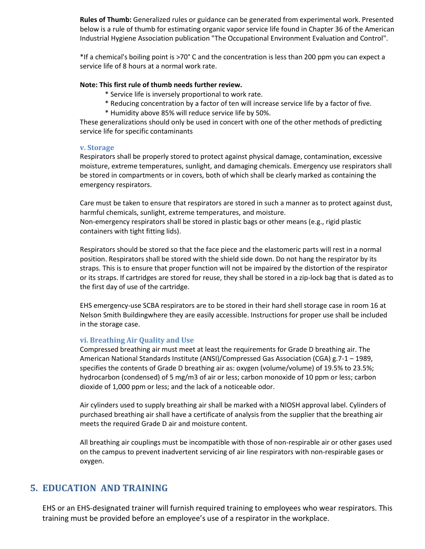**Rules of Thumb:** Generalized rules or guidance can be generated from experimental work. Presented below is a rule of thumb for estimating organic vapor service life found in Chapter 36 of the American Industrial Hygiene Association publication "The Occupational Environment Evaluation and Control".

\*If a chemical's boiling point is >70° C and the concentration is less than 200 ppm you can expect a service life of 8 hours at a normal work rate.

#### **Note: This first rule of thumb needs further review.**

- \* Service life is inversely proportional to work rate.
- \* Reducing concentration by a factor of ten will increase service life by a factor of five.
- \* Humidity above 85% will reduce service life by 50%.

These generalizations should only be used in concert with one of the other methods of predicting service life for specific contaminants

#### <span id="page-12-0"></span>**v. Storage**

Respirators shall be properly stored to protect against physical damage, contamination, excessive moisture, extreme temperatures, sunlight, and damaging chemicals. Emergency use respirators shall be stored in compartments or in covers, both of which shall be clearly marked as containing the emergency respirators.

Care must be taken to ensure that respirators are stored in such a manner as to protect against dust, harmful chemicals, sunlight, extreme temperatures, and moisture. Non-emergency respirators shall be stored in plastic bags or other means (e.g., rigid plastic

containers with tight fitting lids).

Respirators should be stored so that the face piece and the elastomeric parts will rest in a normal position. Respirators shall be stored with the shield side down. Do not hang the respirator by its straps. This is to ensure that proper function will not be impaired by the distortion of the respirator or its straps. If cartridges are stored for reuse, they shall be stored in a zip-lock bag that is dated as to the first day of use of the cartridge.

EHS emergency-use SCBA respirators are to be stored in their hard shell storage case in room 16 at Nelson Smith Buildingwhere they are easily accessible. Instructions for proper use shall be included in the storage case.

### <span id="page-12-1"></span>**vi. Breathing Air Quality and Use**

Compressed breathing air must meet at least the requirements for Grade D breathing air. The American National Standards Institute (ANSI)/Compressed Gas Association (CGA) g.7-1 – 1989, specifies the contents of Grade D breathing air as: oxygen (volume/volume) of 19.5% to 23.5%; hydrocarbon (condensed) of 5 mg/m3 of air or less; carbon monoxide of 10 ppm or less; carbon dioxide of 1,000 ppm or less; and the lack of a noticeable odor.

Air cylinders used to supply breathing air shall be marked with a NIOSH approval label. Cylinders of purchased breathing air shall have a certificate of analysis from the supplier that the breathing air meets the required Grade D air and moisture content.

All breathing air couplings must be incompatible with those of non-respirable air or other gases used on the campus to prevent inadvertent servicing of air line respirators with non-respirable gases or oxygen.

# <span id="page-12-2"></span>**5. EDUCATION AND TRAINING**

EHS or an EHS-designated trainer will furnish required training to employees who wear respirators. This training must be provided before an employee's use of a respirator in the workplace.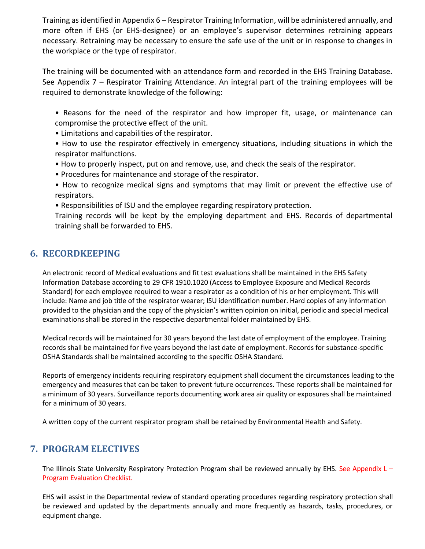Training as identified in Appendix 6 – Respirator Training Information, will be administered annually, and more often if EHS (or EHS-designee) or an employee's supervisor determines retraining appears necessary. Retraining may be necessary to ensure the safe use of the unit or in response to changes in the workplace or the type of respirator.

The training will be documented with an attendance form and recorded in the EHS Training Database. See Appendix 7 – Respirator Training Attendance. An integral part of the training employees will be required to demonstrate knowledge of the following:

• Reasons for the need of the respirator and how improper fit, usage, or maintenance can compromise the protective effect of the unit.

• Limitations and capabilities of the respirator.

• How to use the respirator effectively in emergency situations, including situations in which the respirator malfunctions.

• How to properly inspect, put on and remove, use, and check the seals of the respirator.

• Procedures for maintenance and storage of the respirator.

• How to recognize medical signs and symptoms that may limit or prevent the effective use of respirators.

• Responsibilities of ISU and the employee regarding respiratory protection.

Training records will be kept by the employing department and EHS. Records of departmental training shall be forwarded to EHS.

# <span id="page-13-0"></span>**6. RECORDKEEPING**

An electronic record of Medical evaluations and fit test evaluations shall be maintained in the EHS Safety Information Database according to 29 CFR 1910.1020 (Access to Employee Exposure and Medical Records Standard) for each employee required to wear a respirator as a condition of his or her employment. This will include: Name and job title of the respirator wearer; ISU identification number. Hard copies of any information provided to the physician and the copy of the physician's written opinion on initial, periodic and special medical examinations shall be stored in the respective departmental folder maintained by EHS.

Medical records will be maintained for 30 years beyond the last date of employment of the employee. Training records shall be maintained for five years beyond the last date of employment. Records for substance-specific OSHA Standards shall be maintained according to the specific OSHA Standard.

Reports of emergency incidents requiring respiratory equipment shall document the circumstances leading to the emergency and measures that can be taken to prevent future occurrences. These reports shall be maintained for a minimum of 30 years. Surveillance reports documenting work area air quality or exposures shall be maintained for a minimum of 30 years.

<span id="page-13-1"></span>A written copy of the current respirator program shall be retained by Environmental Health and Safety.

# **7. PROGRAM ELECTIVES**

The Illinois State University Respiratory Protection Program shall be reviewed annually by EHS. See Appendix L -Program Evaluation Checklist.

EHS will assist in the Departmental review of standard operating procedures regarding respiratory protection shall be reviewed and updated by the departments annually and more frequently as hazards, tasks, procedures, or equipment change.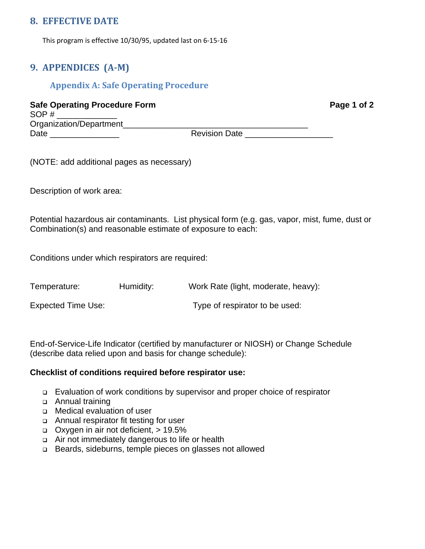# <span id="page-14-0"></span>**8. EFFECTIVE DATE**

<span id="page-14-1"></span>This program is effective 10/30/95, updated last on 6-15-16

# <span id="page-14-2"></span>**9. APPENDICES (A-M)**

# **Appendix A: Safe Operating Procedure**

**Safe Operating Procedure Form Page 1 of 2** SOP # Organization/Department\_\_\_\_\_\_\_\_\_\_\_\_\_\_\_\_\_\_\_\_\_\_\_\_\_\_\_\_\_\_\_\_\_\_\_\_\_\_\_\_ Date \_\_\_\_\_\_\_\_\_\_\_\_\_\_\_ Revision Date \_\_\_\_\_\_\_\_\_\_\_\_\_\_\_\_\_\_\_

(NOTE: add additional pages as necessary)

Description of work area:

Potential hazardous air contaminants. List physical form (e.g. gas, vapor, mist, fume, dust or Combination(s) and reasonable estimate of exposure to each:

Conditions under which respirators are required:

Temperature: Humidity: Work Rate (light, moderate, heavy): Expected Time Use: Type of respirator to be used:

End-of-Service-Life Indicator (certified by manufacturer or NIOSH) or Change Schedule (describe data relied upon and basis for change schedule):

### **Checklist of conditions required before respirator use:**

- ❑ Evaluation of work conditions by supervisor and proper choice of respirator
- ❑ Annual training
- ❑ Medical evaluation of user
- ❑ Annual respirator fit testing for user
- ❑ Oxygen in air not deficient, > 19.5%
- ❑ Air not immediately dangerous to life or health
- ❑ Beards, sideburns, temple pieces on glasses not allowed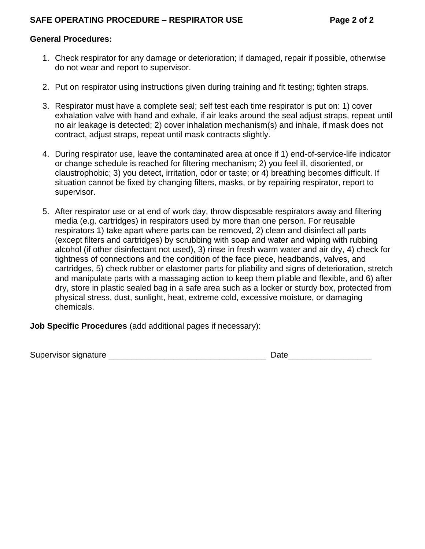### **General Procedures:**

- 1. Check respirator for any damage or deterioration; if damaged, repair if possible, otherwise do not wear and report to supervisor.
- 2. Put on respirator using instructions given during training and fit testing; tighten straps.
- 3. Respirator must have a complete seal; self test each time respirator is put on: 1) cover exhalation valve with hand and exhale, if air leaks around the seal adjust straps, repeat until no air leakage is detected; 2) cover inhalation mechanism(s) and inhale, if mask does not contract, adjust straps, repeat until mask contracts slightly.
- 4. During respirator use, leave the contaminated area at once if 1) end-of-service-life indicator or change schedule is reached for filtering mechanism; 2) you feel ill, disoriented, or claustrophobic; 3) you detect, irritation, odor or taste; or 4) breathing becomes difficult. If situation cannot be fixed by changing filters, masks, or by repairing respirator, report to supervisor.
- 5. After respirator use or at end of work day, throw disposable respirators away and filtering media (e.g. cartridges) in respirators used by more than one person. For reusable respirators 1) take apart where parts can be removed, 2) clean and disinfect all parts (except filters and cartridges) by scrubbing with soap and water and wiping with rubbing alcohol (if other disinfectant not used), 3) rinse in fresh warm water and air dry, 4) check for tightness of connections and the condition of the face piece, headbands, valves, and cartridges, 5) check rubber or elastomer parts for pliability and signs of deterioration, stretch and manipulate parts with a massaging action to keep them pliable and flexible, and 6) after dry, store in plastic sealed bag in a safe area such as a locker or sturdy box, protected from physical stress, dust, sunlight, heat, extreme cold, excessive moisture, or damaging chemicals.

**Job Specific Procedures** (add additional pages if necessary):

Supervisor signature \_\_\_\_\_\_\_\_\_\_\_\_\_\_\_\_\_\_\_\_\_\_\_\_\_\_\_\_\_\_\_\_\_\_ Date\_\_\_\_\_\_\_\_\_\_\_\_\_\_\_\_\_\_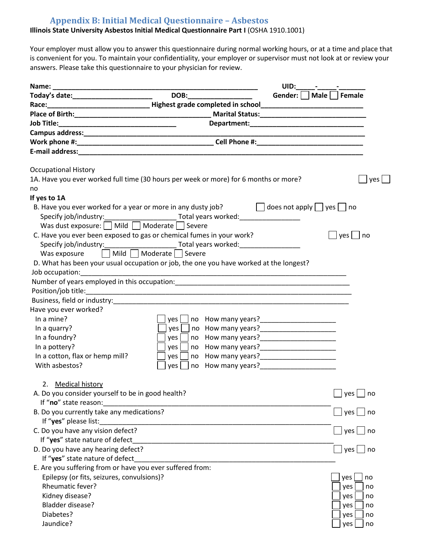# **Appendix B: Initial Medical Questionnaire – Asbestos**

### <span id="page-16-0"></span>**Illinois State University Asbestos Initial Medical Questionnaire Part I** (OSHA 1910.1001)

Your employer must allow you to answer this questionnaire during normal working hours, or at a time and place that is convenient for you. To maintain your confidentiality, your employer or supervisor must not look at or review your answers. Please take this questionnaire to your physician for review.

|                                                                                                                                                   |                 | UID:                                                                                                                                                                                                                                   |                   |
|---------------------------------------------------------------------------------------------------------------------------------------------------|-----------------|----------------------------------------------------------------------------------------------------------------------------------------------------------------------------------------------------------------------------------------|-------------------|
| Today's date:__________________________                                                                                                           | DOB:___________ | Gender:    <br>Male   Female                                                                                                                                                                                                           |                   |
|                                                                                                                                                   |                 |                                                                                                                                                                                                                                        |                   |
|                                                                                                                                                   |                 |                                                                                                                                                                                                                                        |                   |
| Job Title:                                                                                                                                        |                 |                                                                                                                                                                                                                                        |                   |
|                                                                                                                                                   |                 |                                                                                                                                                                                                                                        |                   |
|                                                                                                                                                   |                 |                                                                                                                                                                                                                                        |                   |
|                                                                                                                                                   |                 |                                                                                                                                                                                                                                        |                   |
| <b>Occupational History</b>                                                                                                                       |                 |                                                                                                                                                                                                                                        |                   |
| 1A. Have you ever worked full time (30 hours per week or more) for 6 months or more?                                                              |                 |                                                                                                                                                                                                                                        | yes               |
| no                                                                                                                                                |                 |                                                                                                                                                                                                                                        |                   |
| If yes to 1A                                                                                                                                      |                 |                                                                                                                                                                                                                                        |                   |
| B. Have you ever worked for a year or more in any dusty job?<br>Specify job/industry:____________________________Total years worked:_____________ |                 | $\Box$ does not apply $\Box$ yes $\Box$<br>no                                                                                                                                                                                          |                   |
| Was dust exposure: $\Box$ Mild $\Box$ Moderate $\Box$ Severe                                                                                      |                 |                                                                                                                                                                                                                                        |                   |
| C. Have you ever been exposed to gas or chemical fumes in your work?                                                                              |                 | $yes \mid \text{no}$                                                                                                                                                                                                                   |                   |
| Specify job/industry: Total years worked:                                                                                                         |                 |                                                                                                                                                                                                                                        |                   |
| □ Mild □ Moderate □ Severe<br>Was exposure                                                                                                        |                 |                                                                                                                                                                                                                                        |                   |
| D. What has been your usual occupation or job, the one you have worked at the longest?                                                            |                 |                                                                                                                                                                                                                                        |                   |
| Job occupation:                                                                                                                                   |                 |                                                                                                                                                                                                                                        |                   |
|                                                                                                                                                   |                 |                                                                                                                                                                                                                                        |                   |
|                                                                                                                                                   |                 |                                                                                                                                                                                                                                        |                   |
|                                                                                                                                                   |                 |                                                                                                                                                                                                                                        |                   |
| Have you ever worked?                                                                                                                             |                 |                                                                                                                                                                                                                                        |                   |
| In a mine?                                                                                                                                        | yes             | no How many years?<br><u> Letting and the manufology of the manufology of the manufology of the manufology of the manufology of the manufology of the manufology of the manufology of the manufology of the manufology of the manu</u> |                   |
| In a quarry?                                                                                                                                      | yes             | no How many years?<br><u> Letting and the manufology of the manufology of the manufology of the manufology of the manufology of the manufology of the manufology of the manufology of the manufology of the manufology of the manu</u> |                   |
| In a foundry?                                                                                                                                     | yes             |                                                                                                                                                                                                                                        |                   |
| In a pottery?                                                                                                                                     | yes             |                                                                                                                                                                                                                                        |                   |
| In a cotton, flax or hemp mill?                                                                                                                   | yes             |                                                                                                                                                                                                                                        |                   |
| With asbestos?                                                                                                                                    | ves             | no How many years?                                                                                                                                                                                                                     |                   |
| 2. Medical history                                                                                                                                |                 |                                                                                                                                                                                                                                        |                   |
| A. Do you consider yourself to be in good health?                                                                                                 |                 | $\Box$                                                                                                                                                                                                                                 | $]$ yes $\Box$ no |
| If "no" state reason:                                                                                                                             |                 |                                                                                                                                                                                                                                        |                   |
| B. Do you currently take any medications?<br>If "yes" please list:                                                                                |                 | yes                                                                                                                                                                                                                                    | no                |
| C. Do you have any vision defect?                                                                                                                 |                 |                                                                                                                                                                                                                                        | ∣yes   _  no      |
| If "yes" state nature of defect                                                                                                                   |                 |                                                                                                                                                                                                                                        |                   |
| D. Do you have any hearing defect?                                                                                                                |                 | yes L                                                                                                                                                                                                                                  | no                |
| If "yes" state nature of defect                                                                                                                   |                 |                                                                                                                                                                                                                                        |                   |
| E. Are you suffering from or have you ever suffered from:                                                                                         |                 |                                                                                                                                                                                                                                        |                   |
| Epilepsy (or fits, seizures, convulsions)?                                                                                                        |                 | yes                                                                                                                                                                                                                                    | no                |
| Rheumatic fever?                                                                                                                                  |                 | yes                                                                                                                                                                                                                                    | no                |
| Kidney disease?                                                                                                                                   |                 | yes                                                                                                                                                                                                                                    | no                |
| Bladder disease?                                                                                                                                  |                 | yes                                                                                                                                                                                                                                    | no                |
| Diabetes?                                                                                                                                         |                 | yes                                                                                                                                                                                                                                    | no                |
| Jaundice?                                                                                                                                         |                 | yes                                                                                                                                                                                                                                    | no                |
|                                                                                                                                                   |                 |                                                                                                                                                                                                                                        |                   |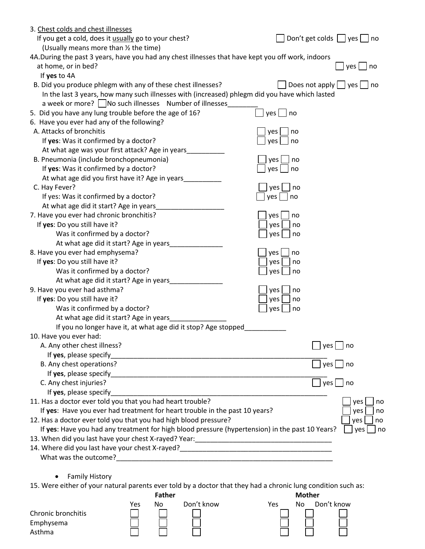| 3. Chest colds and chest illnesses                                                                                             |                                  |
|--------------------------------------------------------------------------------------------------------------------------------|----------------------------------|
| If you get a cold, does it usually go to your chest?                                                                           | Don't get colds $\Box$ yes<br>no |
| (Usually means more than 1/2 the time)                                                                                         |                                  |
| 4A.During the past 3 years, have you had any chest illnesses that have kept you off work, indoors                              |                                  |
| at home, or in bed?                                                                                                            | yes  <br>no                      |
| If yes to 4A                                                                                                                   |                                  |
| B. Did you produce phlegm with any of these chest illnesses?                                                                   | Does not apply $\Box$ yes<br>no  |
| In the last 3 years, how many such illnesses with (increased) phlegm did you have which lasted                                 |                                  |
| a week or more?   No such illnesses Number of illnesses                                                                        |                                  |
| 5. Did you have any lung trouble before the age of 16?                                                                         | $yes \bigsqcup no$               |
| 6. Have you ever had any of the following?                                                                                     |                                  |
| A. Attacks of bronchitis                                                                                                       | yes<br>no                        |
| If yes: Was it confirmed by a doctor?                                                                                          | yes<br>no                        |
| At what age was your first attack? Age in years_                                                                               |                                  |
| B. Pneumonia (include bronchopneumonia)                                                                                        | yes<br>no                        |
| If yes: Was it confirmed by a doctor?                                                                                          | yes<br>no                        |
| At what age did you first have it? Age in years                                                                                |                                  |
| C. Hay Fever?                                                                                                                  | yes  <br>no                      |
| If yes: Was it confirmed by a doctor?                                                                                          | yes  <br>no                      |
| At what age did it start? Age in years                                                                                         |                                  |
| 7. Have you ever had chronic bronchitis?                                                                                       | yes<br>no                        |
| If yes: Do you still have it?                                                                                                  | yes<br>no                        |
| Was it confirmed by a doctor?                                                                                                  | yes<br>no                        |
| At what age did it start? Age in years                                                                                         |                                  |
| 8. Have you ever had emphysema?                                                                                                | yes<br>no                        |
| If yes: Do you still have it?                                                                                                  | yes<br>no                        |
| Was it confirmed by a doctor?                                                                                                  | yes<br>no                        |
| At what age did it start? Age in years                                                                                         |                                  |
| 9. Have you ever had asthma?                                                                                                   | yes  <br>no                      |
| If yes: Do you still have it?                                                                                                  | yes<br>no                        |
| Was it confirmed by a doctor?                                                                                                  | yes<br>no                        |
| At what age did it start? Age in years                                                                                         |                                  |
| If you no longer have it, at what age did it stop? Age stopped                                                                 |                                  |
| 10. Have you ever had:                                                                                                         |                                  |
| A. Any other chest illness?                                                                                                    | yes  <br>no                      |
| If yes, please specify                                                                                                         |                                  |
| B. Any chest operations?                                                                                                       | yes  <br>no                      |
| If yes, please specify                                                                                                         |                                  |
| C. Any chest injuries?                                                                                                         | yes  <br>no                      |
| If yes, please specify                                                                                                         |                                  |
| 11. Has a doctor ever told you that you had heart trouble?                                                                     | yes<br>no                        |
| If yes: Have you ever had treatment for heart trouble in the past 10 years?                                                    | yes<br>no                        |
| 12. Has a doctor ever told you that you had high blood pressure?                                                               | yes<br>no                        |
| If yes: Have you had any treatment for high blood pressure (hypertension) in the past 10 Years?                                | yes<br>no                        |
|                                                                                                                                |                                  |
| 14. Where did you last have your chest X-rayed?__________________________________                                              |                                  |
|                                                                                                                                |                                  |
|                                                                                                                                |                                  |
| <b>Family History</b>                                                                                                          |                                  |
| 15. Were either of your natural parents ever told by a doctor that they had a chronic lung condition such as:<br><b>Father</b> |                                  |
|                                                                                                                                | <b>Mother</b>                    |

|                    | Yes | No | Don't know | Yes | No | Don't know |
|--------------------|-----|----|------------|-----|----|------------|
| Chronic bronchitis |     |    |            |     |    |            |
| Emphysema          |     |    |            |     |    |            |
| Asthma             |     |    |            |     |    |            |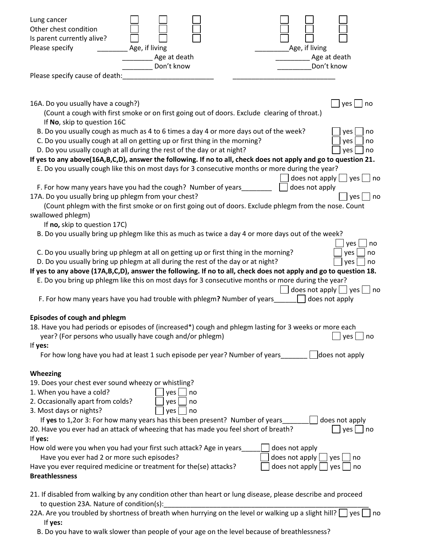| Lung cancer<br>Other chest condition<br>Is parent currently alive?<br>Please specify<br>Age, if living<br>Age, if living<br>Age at death<br>Age at death<br>Don't know<br>Don't know                                                                                                                                                                                                                                          |
|-------------------------------------------------------------------------------------------------------------------------------------------------------------------------------------------------------------------------------------------------------------------------------------------------------------------------------------------------------------------------------------------------------------------------------|
| Please specify cause of death:                                                                                                                                                                                                                                                                                                                                                                                                |
|                                                                                                                                                                                                                                                                                                                                                                                                                               |
| 16A. Do you usually have a cough?)<br>yes<br>no<br>(Count a cough with first smoke or on first going out of doors. Exclude clearing of throat.)<br>If No, skip to question 16C<br>B. Do you usually cough as much as 4 to 6 times a day 4 or more days out of the week?<br>yes<br>no                                                                                                                                          |
| C. Do you usually cough at all on getting up or first thing in the morning?<br>yes<br>no                                                                                                                                                                                                                                                                                                                                      |
| D. Do you usually cough at all during the rest of the day or at night?<br>yes<br>no<br>If yes to any above(16A,B,C,D), answer the following. If no to all, check does not apply and go to question 21.                                                                                                                                                                                                                        |
| E. Do you usually cough like this on most days for 3 consecutive months or more during the year?                                                                                                                                                                                                                                                                                                                              |
| does not apply $ $ $ $ yes $ $ $ $ no<br>F. For how many years have you had the cough? Number of years_<br>does not apply                                                                                                                                                                                                                                                                                                     |
| 17A. Do you usually bring up phlegm from your chest?<br>yes  <br>no<br>(Count phlegm with the first smoke or on first going out of doors. Exclude phlegm from the nose. Count<br>swallowed phlegm)                                                                                                                                                                                                                            |
| If no, skip to question 17C)                                                                                                                                                                                                                                                                                                                                                                                                  |
| B. Do you usually bring up phlegm like this as much as twice a day 4 or more days out of the week?<br>yes  <br>no                                                                                                                                                                                                                                                                                                             |
| C. Do you usually bring up phlegm at all on getting up or first thing in the morning?<br>yes<br>no<br>D. Do you usually bring up phlegm at all during the rest of the day or at night?<br>yes<br>no<br>If yes to any above (17A,B,C,D), answer the following. If no to all, check does not apply and go to question 18.<br>E. Do you bring up phlegm like this on most days for 3 consecutive months or more during the year? |
| does not apply $\vert \ \vert$ yes $\vert$<br>no<br>F. For how many years have you had trouble with phlegm? Number of years_____<br>does not apply                                                                                                                                                                                                                                                                            |
| Episodes of cough and phlegm<br>18. Have you had periods or episodes of (increased*) cough and phlegm lasting for 3 weeks or more each<br>year? (For persons who usually have cough and/or phlegm)<br>yes<br>no<br>If yes:<br>For how long have you had at least 1 such episode per year? Number of years                                                                                                                     |
| does not apply                                                                                                                                                                                                                                                                                                                                                                                                                |
| Wheezing                                                                                                                                                                                                                                                                                                                                                                                                                      |
| 19. Does your chest ever sound wheezy or whistling?<br>1. When you have a cold?<br>yes<br>no<br>2. Occasionally apart from colds?<br>yes<br>no<br>3. Most days or nights?<br>yes<br>no                                                                                                                                                                                                                                        |
| If yes to 1,2or 3: For how many years has this been present? Number of years<br>does not apply<br>20. Have you ever had an attack of wheezing that has made you feel short of breath?<br>$yes \mid$ no                                                                                                                                                                                                                        |
| If yes:                                                                                                                                                                                                                                                                                                                                                                                                                       |
| How old were you when you had your first such attack? Age in years<br>does not apply<br>Have you ever had 2 or more such episodes?<br>does not apply<br>yes  <br>no<br>Have you ever required medicine or treatment for the(se) attacks?<br>does not apply<br>yes<br>no<br><b>Breathlessness</b>                                                                                                                              |
| 21. If disabled from walking by any condition other than heart or lung disease, please describe and proceed                                                                                                                                                                                                                                                                                                                   |
| to question 23A. Nature of condition(s):<br>22A. Are you troubled by shortness of breath when hurrying on the level or walking up a slight hill?<br>yes<br>no                                                                                                                                                                                                                                                                 |

B. Do you have to walk slower than people of your age on the level because of breathlessness?

If **yes:**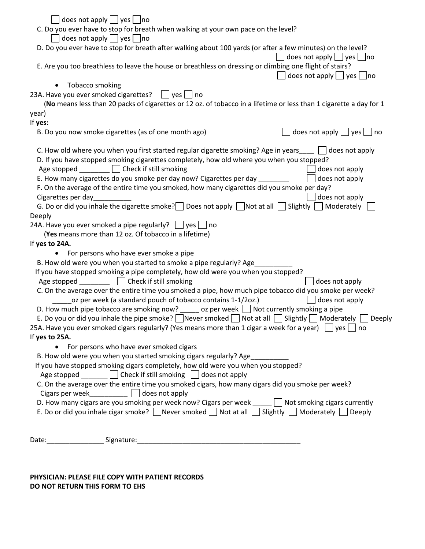| does not apply $\Box$ yes $\Box$ no                                                                                                               |
|---------------------------------------------------------------------------------------------------------------------------------------------------|
| C. Do you ever have to stop for breath when walking at your own pace on the level?                                                                |
| does not apply $ $ yes $ $ no                                                                                                                     |
| D. Do you ever have to stop for breath after walking about 100 yards (or after a few minutes) on the level?                                       |
| does not apply $\log$ yes no                                                                                                                      |
| E. Are you too breathless to leave the house or breathless on dressing or climbing one flight of stairs?                                          |
| does not apply $ $ $ $ yes $ $ $ $ no                                                                                                             |
| Tobacco smoking                                                                                                                                   |
| 23A. Have you ever smoked cigarettes?     yes     no                                                                                              |
| (No means less than 20 packs of cigarettes or 12 oz. of tobacco in a lifetime or less than 1 cigarette a day for 1                                |
|                                                                                                                                                   |
| year)                                                                                                                                             |
| If yes:                                                                                                                                           |
| does not apply $\Box$ yes $\Box$ no<br>B. Do you now smoke cigarettes (as of one month ago)                                                       |
| C. How old where you when you first started regular cigarette smoking? Age in years   does not apply                                              |
| D. If you have stopped smoking cigarettes completely, how old where you when you stopped?                                                         |
| Age stopped   Check if still smoking<br>does not apply                                                                                            |
| E. How many cigarettes do you smoke per day now? Cigarettes per day __<br>does not apply                                                          |
| F. On the average of the entire time you smoked, how many cigarettes did you smoke per day?                                                       |
| Cigarettes per day_<br>does not apply                                                                                                             |
| G. Do or did you inhale the cigarette smoke? Does not apply $\Box$ Not at all $\Box$ Slightly $\Box$ Moderately                                   |
| Deeply                                                                                                                                            |
| 24A. Have you ever smoked a pipe regularly? $\Box$ yes $\Box$ no                                                                                  |
| (Yes means more than 12 oz. Of tobacco in a lifetime)                                                                                             |
| If yes to 24A.                                                                                                                                    |
| For persons who have ever smoke a pipe                                                                                                            |
|                                                                                                                                                   |
| B. How old were you when you started to smoke a pipe regularly? Age                                                                               |
| If you have stopped smoking a pipe completely, how old were you when you stopped?                                                                 |
| Check if still smoking<br>does not apply<br>Age stopped                                                                                           |
| C. On the average over the entire time you smoked a pipe, how much pipe tobacco did you smoke per week?                                           |
| oz per week (a standard pouch of tobacco contains 1-1/2oz.)<br>does not apply                                                                     |
| D. How much pipe tobacco are smoking now? $\qquad \qquad$ oz per week $\Box$ Not currently smoking a pipe                                         |
| E. Do you or did you inhale the pipe smoke? Never smoked $\Box$ Not at all $\Box$ Slightly $\Box$ Moderately<br>Deeply                            |
| 25A. Have you ever smoked cigars regularly? (Yes means more than 1 cigar a week for a year) $\vert \ \vert$ yes $\vert \ \vert$<br>n <sub>o</sub> |
| If yes to 25A.                                                                                                                                    |
| • For persons who have ever smoked cigars                                                                                                         |
| B. How old were you when you started smoking cigars regularly? Age_                                                                               |
| If you have stopped smoking cigars completely, how old were you when you stopped?                                                                 |
| Age stopped $\Box$ Check if still smoking $\Box$ does not apply                                                                                   |
| C. On the average over the entire time you smoked cigars, how many cigars did you smoke per week?                                                 |
| Cigars per week $\Box$ does not apply                                                                                                             |
| D. How many cigars are you smoking per week now? Cigars per week<br>Not smoking cigars currently                                                  |
| E. Do or did you inhale cigar smoke? Never smoked Not at all<br>Slightly $\Box$ Moderately $\Box$ Deeply                                          |
|                                                                                                                                                   |
|                                                                                                                                                   |
| Signature:<br>Date:                                                                                                                               |

**PHYSICIAN: PLEASE FILE COPY WITH PATIENT RECORDS DO NOT RETURN THIS FORM TO EHS**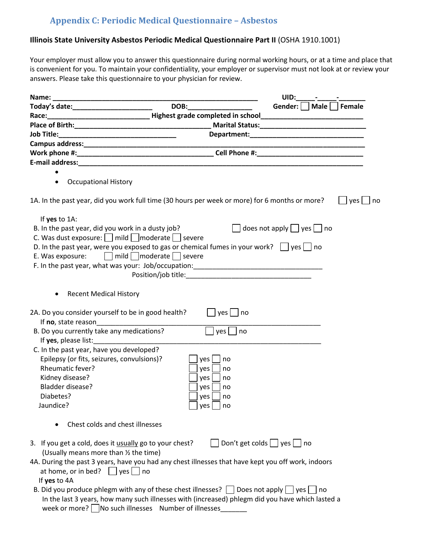# **Appendix C: Periodic Medical Questionnaire – Asbestos**

### <span id="page-20-0"></span>**Illinois State University Asbestos Periodic Medical Questionnaire Part II** (OSHA 1910.1001)

Your employer must allow you to answer this questionnaire during normal working hours, or at a time and place that is convenient for you. To maintain your confidentiality, your employer or supervisor must not look at or review your answers. Please take this questionnaire to your physician for review.

|                                                                                                                                                                                                                                |                                                                                                                                                                                                                                | UID:                                |           |
|--------------------------------------------------------------------------------------------------------------------------------------------------------------------------------------------------------------------------------|--------------------------------------------------------------------------------------------------------------------------------------------------------------------------------------------------------------------------------|-------------------------------------|-----------|
|                                                                                                                                                                                                                                | DOB: the contract of the contract of the contract of the contract of the contract of the contract of the contract of the contract of the contract of the contract of the contract of the contract of the contract of the contr | Gender:     Male     Female         |           |
|                                                                                                                                                                                                                                |                                                                                                                                                                                                                                |                                     |           |
|                                                                                                                                                                                                                                |                                                                                                                                                                                                                                |                                     |           |
|                                                                                                                                                                                                                                |                                                                                                                                                                                                                                |                                     |           |
|                                                                                                                                                                                                                                |                                                                                                                                                                                                                                |                                     |           |
|                                                                                                                                                                                                                                |                                                                                                                                                                                                                                |                                     |           |
| E-mail address: Entrance and the contract of the contract of the contract of the contract of the contract of the contract of the contract of the contract of the contract of the contract of the contract of the contract of t |                                                                                                                                                                                                                                |                                     |           |
|                                                                                                                                                                                                                                |                                                                                                                                                                                                                                |                                     |           |
| <b>Occupational History</b>                                                                                                                                                                                                    |                                                                                                                                                                                                                                |                                     |           |
| 1A. In the past year, did you work full time (30 hours per week or more) for 6 months or more?                                                                                                                                 |                                                                                                                                                                                                                                |                                     | yes<br>no |
| If yes to 1A:                                                                                                                                                                                                                  |                                                                                                                                                                                                                                |                                     |           |
| B. In the past year, did you work in a dusty job?                                                                                                                                                                              |                                                                                                                                                                                                                                | does not apply $\Box$ yes $\Box$ no |           |
| C. Was dust exposure:   mild   moderate   severe                                                                                                                                                                               |                                                                                                                                                                                                                                |                                     |           |
| D. In the past year, were you exposed to gas or chemical fumes in your work? $\Box$ yes $\Box$ no                                                                                                                              |                                                                                                                                                                                                                                |                                     |           |
| E. Was exposure: $\Box$ mild $\Box$ moderate $\Box$ severe                                                                                                                                                                     |                                                                                                                                                                                                                                |                                     |           |
| F. In the past year, what was your: Job/occupation: _____________________________                                                                                                                                              |                                                                                                                                                                                                                                |                                     |           |
|                                                                                                                                                                                                                                | Position/job title: The contract of the contract of the contract of the contract of the contract of the contract of the contract of the contract of the contract of the contract of the contract of the contract of the contra |                                     |           |
|                                                                                                                                                                                                                                |                                                                                                                                                                                                                                |                                     |           |
| <b>Recent Medical History</b><br>$\bullet$                                                                                                                                                                                     |                                                                                                                                                                                                                                |                                     |           |
|                                                                                                                                                                                                                                |                                                                                                                                                                                                                                |                                     |           |
| 2A. Do you consider yourself to be in good health?<br>If no, state reason                                                                                                                                                      | yes     no                                                                                                                                                                                                                     |                                     |           |
| B. Do you currently take any medications?                                                                                                                                                                                      | $yes \mid$<br>no                                                                                                                                                                                                               |                                     |           |
| If yes, please list: and the same state of the state of the state of the state of the state of the state of the                                                                                                                |                                                                                                                                                                                                                                |                                     |           |
| C. In the past year, have you developed?                                                                                                                                                                                       |                                                                                                                                                                                                                                |                                     |           |
| Epilepsy (or fits, seizures, convulsions)?                                                                                                                                                                                     | no                                                                                                                                                                                                                             |                                     |           |
| Rheumatic fever?                                                                                                                                                                                                               | yes  <br>yes<br>no                                                                                                                                                                                                             |                                     |           |
| Kidney disease?                                                                                                                                                                                                                | yes<br>no                                                                                                                                                                                                                      |                                     |           |
| Bladder disease?                                                                                                                                                                                                               | yes<br>no                                                                                                                                                                                                                      |                                     |           |
| Diabetes?                                                                                                                                                                                                                      | yes<br>no                                                                                                                                                                                                                      |                                     |           |
| Jaundice?                                                                                                                                                                                                                      | yes  <br>no                                                                                                                                                                                                                    |                                     |           |
|                                                                                                                                                                                                                                |                                                                                                                                                                                                                                |                                     |           |
| Chest colds and chest illnesses                                                                                                                                                                                                |                                                                                                                                                                                                                                |                                     |           |
| 3. If you get a cold, does it usually go to your chest?                                                                                                                                                                        | Don't get colds $\Box$ yes $\Box$ no                                                                                                                                                                                           |                                     |           |
| (Usually means more than 1/2 the time)                                                                                                                                                                                         |                                                                                                                                                                                                                                |                                     |           |
| 4A. During the past 3 years, have you had any chest illnesses that have kept you off work, indoors                                                                                                                             |                                                                                                                                                                                                                                |                                     |           |
| at home, or in bed? $\Box$<br>$ves$   no                                                                                                                                                                                       |                                                                                                                                                                                                                                |                                     |           |
| If yes to 4A                                                                                                                                                                                                                   |                                                                                                                                                                                                                                |                                     |           |
| B. Did you produce phlegm with any of these chest illnesses? $\Box$ Does not apply $\Box$ yes [                                                                                                                                |                                                                                                                                                                                                                                | l no                                |           |
| In the last 3 years, how many such illnesses with (increased) phlegm did you have which lasted a                                                                                                                               |                                                                                                                                                                                                                                |                                     |           |
| week or more? No such illnesses Number of illnesses                                                                                                                                                                            |                                                                                                                                                                                                                                |                                     |           |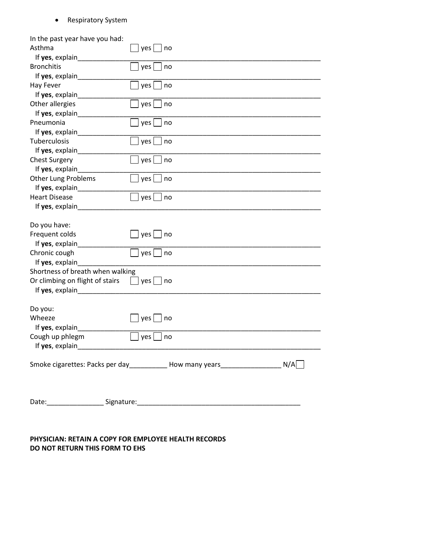### • Respiratory System

| In the past year have you had:   |                                                                                      |
|----------------------------------|--------------------------------------------------------------------------------------|
| Asthma                           | yes  <br>no                                                                          |
|                                  |                                                                                      |
| <b>Bronchitis</b>                | yes<br>no                                                                            |
| If yes, explain                  |                                                                                      |
| <b>Hay Fever</b>                 | yes<br>no                                                                            |
|                                  |                                                                                      |
| Other allergies                  | yes<br>no                                                                            |
| If yes, explain                  |                                                                                      |
| Pneumonia                        | yes<br>no                                                                            |
| If yes, explain                  |                                                                                      |
| Tuberculosis                     | yes<br>no                                                                            |
|                                  |                                                                                      |
| <b>Chest Surgery</b>             | yes<br>no                                                                            |
| If yes, explain                  |                                                                                      |
| Other Lung Problems              | yes<br>no                                                                            |
| If yes, explain                  |                                                                                      |
| <b>Heart Disease</b>             | yes<br>no                                                                            |
| If yes, explain                  |                                                                                      |
|                                  |                                                                                      |
| Do you have:                     |                                                                                      |
| Frequent colds                   | $\Box$ yes $\Box$<br>no                                                              |
| If yes, explain                  |                                                                                      |
| Chronic cough                    | yes  <br>no                                                                          |
| If yes, explain                  |                                                                                      |
| Shortness of breath when walking |                                                                                      |
| Or climbing on flight of stairs  | $\Box$ yes $\Box$<br>no                                                              |
| If yes, explain                  |                                                                                      |
|                                  |                                                                                      |
| Do you:                          |                                                                                      |
| Wheeze                           | yes<br>no                                                                            |
| If yes, explain                  |                                                                                      |
| Cough up phlegm                  | yes  <br>no                                                                          |
|                                  |                                                                                      |
|                                  |                                                                                      |
|                                  | Smoke cigarettes: Packs per day____________ How many years______________________ N/A |
|                                  |                                                                                      |
|                                  |                                                                                      |
|                                  |                                                                                      |
|                                  |                                                                                      |

### **PHYSICIAN: RETAIN A COPY FOR EMPLOYEE HEALTH RECORDS DO NOT RETURN THIS FORM TO EHS**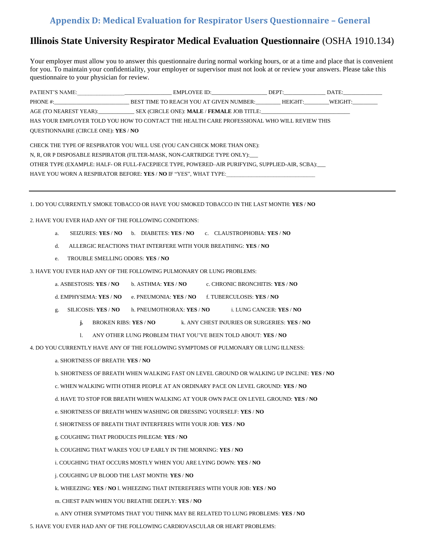# <span id="page-22-0"></span>**Appendix D: Medical Evaluation for Respirator Users Questionnaire – General**

# **Illinois State University Respirator Medical Evaluation Questionnaire** (OSHA 1910.134)

Your employer must allow you to answer this questionnaire during normal working hours, or at a time and place that is convenient for you. To maintain your confidentiality, your employer or supervisor must not look at or review your answers. Please take this questionnaire to your physician for review.

|                                                                                                | EMPLOYEE ID: DEPT: DATE:                                                                    |  |  |  |  |  |
|------------------------------------------------------------------------------------------------|---------------------------------------------------------------------------------------------|--|--|--|--|--|
|                                                                                                | PHONE #: BEST TIME TO REACH YOU AT GIVEN NUMBER: HEIGHT: WEIGHT:                            |  |  |  |  |  |
|                                                                                                | AGE (TO NEAREST YEAR): SEX (CIRCLE ONE): <b>MALE</b> / <b>FEMALE</b> JOB TITLE:             |  |  |  |  |  |
|                                                                                                | HAS YOUR EMPLOYER TOLD YOU HOW TO CONTACT THE HEALTH CARE PROFESSIONAL WHO WILL REVIEW THIS |  |  |  |  |  |
| QUESTIONNAIRE (CIRCLE ONE): YES / NO                                                           |                                                                                             |  |  |  |  |  |
| CHECK THE TYPE OF RESPIRATOR YOU WILL USE (YOU CAN CHECK MORE THAN ONE):                       |                                                                                             |  |  |  |  |  |
| N, R, OR P DISPOSABLE RESPIRATOR (FILTER-MASK, NON-CARTRIDGE TYPE ONLY):                       |                                                                                             |  |  |  |  |  |
| OTHER TYPE (EXAMPLE: HALF- OR FULL-FACEPIECE TYPE, POWERED–AIR PURIFYING, SUPPLIED-AIR, SCBA): |                                                                                             |  |  |  |  |  |
| HAVE YOU WORN A RESPIRATOR BEFORE: YES / NO IF "YES", WHAT TYPE:                               |                                                                                             |  |  |  |  |  |

1. DO YOU CURRENTLY SMOKE TOBACCO OR HAVE YOU SMOKED TOBACCO IN THE LAST MONTH: **YES** / **NO** 

2. HAVE YOU EVER HAD ANY OF THE FOLLOWING CONDITIONS:

- a. SEIZURES: **YES** / **NO** b. DIABETES: **YES** / **NO** c. CLAUSTROPHOBIA: **YES** / **NO**
- d. ALLERGIC REACTIONS THAT INTERFERE WITH YOUR BREATHING: **YES** / **NO**
- e. TROUBLE SMELLING ODORS: **YES** / **NO**
- 3. HAVE YOU EVER HAD ANY OF THE FOLLOWING PULMONARY OR LUNG PROBLEMS:
	- a. ASBESTOSIS: **YES** / **NO** b. ASTHMA: **YES** / **NO** c. CHRONIC BRONCHITIS: **YES** / **NO**
	- d. EMPHYSEMA: **YES** / **NO** e. PNEUMONIA: **YES** / **NO** f. TUBERCULOSIS: **YES** / **NO**
	- g. SILICOSIS: **YES** / **NO** h. PNEUMOTHORAX: **YES** / **NO** i. LUNG CANCER: **YES** / **NO** 
		- **j.** BROKEN RIBS: **YES** / **NO** k. ANY CHEST INJURIES OR SURGERIES: **YES** / **NO**
		- l. ANY OTHER LUNG PROBLEM THAT YOU'VE BEEN TOLD ABOUT: **YES** / **NO**
- 4. DO YOU CURRENTLY HAVE ANY OF THE FOLLOWING SYMPTOMS OF PULMONARY OR LUNG ILLNESS:
	- a. SHORTNESS OF BREATH: **YES** / **NO**
	- b. SHORTNESS OF BREATH WHEN WALKING FAST ON LEVEL GROUND OR WALKING UP INCLINE: **YES** / **NO**
	- c. WHEN WALKING WITH OTHER PEOPLE AT AN ORDINARY PACE ON LEVEL GROUND: **YES** / **NO**
	- d. HAVE TO STOP FOR BREATH WHEN WALKING AT YOUR OWN PACE ON LEVEL GROUND: **YES** / **NO**
	- e. SHORTNESS OF BREATH WHEN WASHING OR DRESSING YOURSELF: **YES** / **NO**
	- f. SHORTNESS OF BREATH THAT INTERFERES WITH YOUR JOB: **YES** / **NO**
	- g. COUGHING THAT PRODUCES PHLEGM: **YES** / **NO**
	- h. COUGHING THAT WAKES YOU UP EARLY IN THE MORNING: **YES** / **NO**
	- i. COUGHING THAT OCCURS MOSTLY WHEN YOU ARE LYING DOWN: **YES** / **NO**
	- j. COUGHING UP BLOOD THE LAST MONTH: **YES** / **NO**
	- k. WHEEZING: **YES** / **NO** l. WHEEZING THAT INTEREFERES WITH YOUR JOB: **YES** / **NO**
	- m. CHEST PAIN WHEN YOU BREATHE DEEPLY: **YES** / **NO**
	- n. ANY OTHER SYMPTOMS THAT YOU THINK MAY BE RELATED TO LUNG PROBLEMS: **YES** / **NO**
- 5. HAVE YOU EVER HAD ANY OF THE FOLLOWING CARDIOVASCULAR OR HEART PROBLEMS: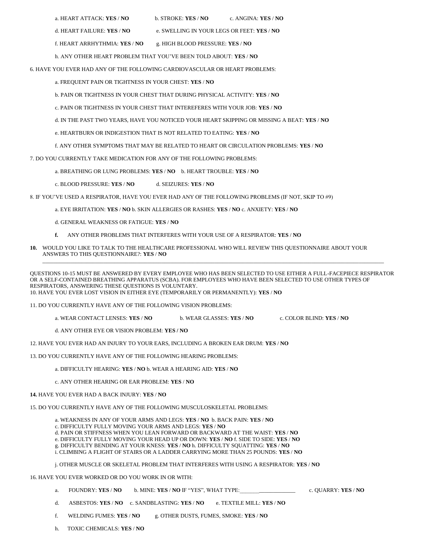|  |  |  | a. HEART ATTACK: <b>YES / NC</b> |  |  |
|--|--|--|----------------------------------|--|--|
|--|--|--|----------------------------------|--|--|

- a. HEART ATTACK: **YES** / **NO** b. STROKE: **YES** / **NO** c. ANGINA: **YES** / **NO**
- d. HEART FAILURE: **YES** / **NO** e. SWELLING IN YOUR LEGS OR FEET: **YES** / **NO**
- f. HEART ARRHYTHMIA: **YES** / **NO** g. HIGH BLOOD PRESSURE: **YES** / **NO**

h. ANY OTHER HEART PROBLEM THAT YOU'VE BEEN TOLD ABOUT: **YES** / **NO** 

6. HAVE YOU EVER HAD ANY OF THE FOLLOWING CARDIOVASCULAR OR HEART PROBLEMS:

a. FREQUENT PAIN OR TIGHTNESS IN YOUR CHEST: **YES** / **NO** 

- b. PAIN OR TIGHTNESS IN YOUR CHEST THAT DURING PHYSICAL ACTIVITY: **YES** / **NO**
- c. PAIN OR TIGHTNESS IN YOUR CHEST THAT INTEREFERES WITH YOUR JOB: **YES** / **NO**
- d. IN THE PAST TWO YEARS, HAVE YOU NOTICED YOUR HEART SKIPPING OR MISSING A BEAT: **YES** / **NO**
- e. HEARTBURN OR INDIGESTION THAT IS NOT RELATED TO EATING: **YES** / **NO**
- f. ANY OTHER SYMPTOMS THAT MAY BE RELATED TO HEART OR CIRCULATION PROBLEMS: **YES** / **NO**

7. DO YOU CURRENTLY TAKE MEDICATION FOR ANY OF THE FOLLOWING PROBLEMS:

- a. BREATHING OR LUNG PROBLEMS: **YES** / **NO** b. HEART TROUBLE: **YES** / **NO**
- c. BLOOD PRESSURE: **YES** / **NO** d. SEIZURES: **YES** / **NO**

8. IF YOU'VE USED A RESPIRATOR, HAVE YOU EVER HAD ANY OF THE FOLLOWING PROBLEMS (IF NOT, SKIP TO #9)

- a. EYE IRRITATION: **YES** / **NO** b. SKIN ALLERGIES OR RASHES: **YES** / **NO** c. ANXIETY: **YES** / **NO**
- d. GENERAL WEAKNESS OR FATIGUE: **YES** / **NO**
- **f.** ANY OTHER PROBLEMS THAT INTERFERES WITH YOUR USE OF A RESPIRATOR: **YES** / **NO**
- **10.** WOULD YOU LIKE TO TALK TO THE HEALTHCARE PROFESSIONAL WHO WILL REVIEW THIS QUESTIONNAIRE ABOUT YOUR ANSWERS TO THIS QUESTIONNAIRE?: **YES** / **NO**  \_\_\_\_\_\_\_\_\_\_\_\_\_\_\_\_\_\_\_\_\_\_\_\_\_\_\_\_\_\_\_\_\_\_\_\_\_\_\_\_\_\_\_\_\_\_\_\_\_\_\_\_\_\_\_\_\_\_\_\_\_\_\_\_\_\_\_\_\_\_\_\_\_\_\_\_\_\_\_\_\_\_\_\_\_\_\_\_\_\_\_\_\_\_\_\_\_\_\_\_\_\_\_\_\_\_\_\_\_\_\_\_\_\_\_\_\_\_\_\_\_\_\_

QUESTIONS 10-15 MUST BE ANSWERED BY EVERY EMPLOYEE WHO HAS BEEN SELECTED TO USE EITHER A FULL-FACEPIECE RESPIRATOR OR A SELF-CONTAINED BREATHING APPARATUS (SCBA). FOR EMPLOYEES WHO HAVE BEEN SELECTED TO USE OTHER TYPES OF RESPIRATORS, ANSWERING THESE QUESTIONS IS VOLUNTARY. 10. HAVE YOU EVER LOST VISION IN EITHER EYE (TEMPORARILY OR PERMANENTLY): **YES** / **NO** 

11. DO YOU CURRENTLY HAVE ANY OF THE FOLLOWING VISION PROBLEMS:

- a. WEAR CONTACT LENSES: **YES** / **NO** b. WEAR GLASSES: **YES** / **NO** c. COLOR BLIND: **YES** / **NO**
- d. ANY OTHER EYE OR VISION PROBLEM: **YES / NO**
- 12. HAVE YOU EVER HAD AN INJURY TO YOUR EARS, INCLUDING A BROKEN EAR DRUM: **YES** / **NO**

13. DO YOU CURRENTLY HAVE ANY OF THE FOLLOWING HEARING PROBLEMS:

- a. DIFFICULTY HEARING: **YES** / **NO** b. WEAR A HEARING AID: **YES** / **NO**
- c. ANY OTHER HEARING OR EAR PROBLEM: **YES** / **NO**
- **14.** HAVE YOU EVER HAD A BACK INJURY: **YES** / **NO**

15. DO YOU CURRENTLY HAVE ANY OF THE FOLLOWING MUSCULOSKELETAL PROBLEMS:

- a. WEAKNESS IN ANY OF YOUR ARMS AND LEGS: **YES** / **NO** b. BACK PAIN: **YES** / **NO**
- c. DIFFICULTY FULLY MOVING YOUR ARMS AND LEGS: **YES** / **NO**
- d. PAIN OR STIFFNESS WHEN YOU LEAN FORWARD OR BACKWARD AT THE WAIST: **YES** / **NO**
- e. DIFFICULTY FULLY MOVING YOUR HEAD UP OR DOWN: **YES** / **NO** f. SIDE TO SIDE: **YES** / **NO**
- g. DIFFICULTY BENDING AT YOUR KNESS: **YES** / **NO** h. DIFFICULTY SQUATTING: **YES** / **NO**  i. CLIMBING A FLIGHT OF STAIRS OR A LADDER CARRYING MORE THAN 25 POUNDS: **YES** / **NO**

j. OTHER MUSCLE OR SKELETAL PROBLEM THAT INTERFERES WITH USING A RESPIRATOR: **YES** / **NO** 

16. HAVE YOU EVER WORKED OR DO YOU WORK IN OR WITH:

- a. FOUNDRY: **YES** / **NO** b. MINE: **YES** / **NO** IF "YES", WHAT TYPE:\_\_\_\_\_\_\_\_\_\_\_\_\_\_\_\_\_\_\_\_c. QUARRY: **YES** / **NO**
- d. ASBESTOS: **YES** / **NO** c. SANDBLASTING: **YES** / **NO** e. TEXTILE MILL: **YES** / **NO**
- f. WELDING FUMES: **YES** / **NO** g. OTHER DUSTS, FUMES, SMOKE: **YES** / **NO**
- h. TOXIC CHEMICALS: **YES** / **NO**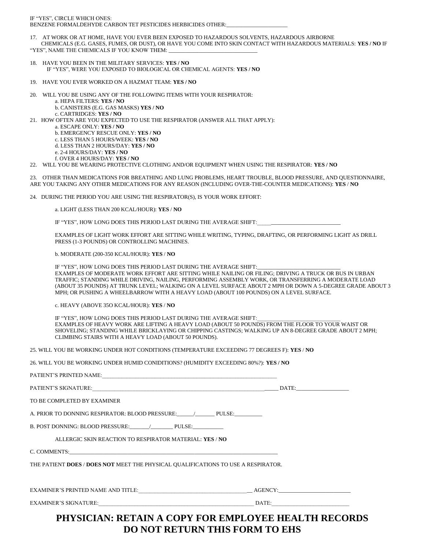IF "YES", CIRCLE WHICH ONES: BENZENE FORMALDEHYDE CARBON TET PESTICIDES HERBICIDES OTHER:

17. AT WORK OR AT HOME, HAVE YOU EVER BEEN EXPOSED TO HAZARDOUS SOLVENTS, HAZARDOUS AIRBORNE CHEMICALS (E.G. GASES, FUMES, OR DUST), OR HAVE YOU COME INTO SKIN CONTACT WITH HAZARDOUS MATERIALS: **YES / NO** IF "YES", NAME THE CHEMICALS IF YOU KNOW THEM:

- 18. HAVE YOU BEEN IN THE MILITARY SERVICES: **YES / NO**  IF "YES", WERE YOU EXPOSED TO BIOLOGICAL OR CHEMICAL AGENTS: **YES / NO**
- 19. HAVE YOU EVER WORKED ON A HAZMAT TEAM: **YES / NO**
- 20. WILL YOU BE USING ANY OF THE FOLLOWING ITEMS WITH YOUR RESPIRATOR:
	- a. HEPA FILTERS: **YES / NO**
	- b. CANISTERS (E.G. GAS MASKS) **YES / NO**
- c. CARTRIDGES: **YES / NO**
- 21. HOW OFTEN ARE YOU EXPECTED TO USE THE RESPIRATOR (ANSWER ALL THAT APPLY): a. ESCAPE ONLY: **YES / NO**
	- b. EMERGENCY RESCUE ONLY: **YES / NO**
	- c. LESS THAN 5 HOURS/WEEK: **YES / NO**
	- d. LESS THAN 2 HOURS/DAY: **YES / NO**
	- e. 2-4 HOURS/DAY: **YES / NO**
	- f. OVER 4 HOURS/DAY: **YES / NO**
- 22. WILL YOU BE WEARING PROTECTIVE CLOTHING AND/OR EQUIPMENT WHEN USING THE RESPIRATOR: **YES / NO**

23. OTHER THAN MEDICATIONS FOR BREATHING AND LUNG PROBLEMS, HEART TROUBLE, BLOOD PRESSURE, AND QUESTIONNAIRE, ARE YOU TAKING ANY OTHER MEDICATIONS FOR ANY REASON (INCLUDING OVER-THE-COUNTER MEDICATIONS): **YES** / **NO** 

24. DURING THE PERIOD YOU ARE USING THE RESPIRATOR(S), IS YOUR WORK EFFORT:

a. LIGHT (LESS THAN 200 KCAL/HOUR): **YES** / **NO** 

IF "YES", HOW LONG DOES THIS PERIOD LAST DURING THE AVERAGE SHIFT:

EXAMPLES OF LIGHT WORK EFFORT ARE SITTING WHILE WRITING, TYPING, DRAFTING, OR PERFORMING LIGHT AS DRILL PRESS (1-3 POUNDS) OR CONTROLLING MACHINES.

b. MODERATE (200-350 KCAL/HOUR): **YES** / **NO** 

IF "YES", HOW LONG DOES THIS PERIOD LAST DURING THE AVERAGE SHIFT: EXAMPLES OF MODERATE WORK EFFORT ARE SITTING WHILE NAILING OR FILING; DRIVING A TRUCK OR BUS IN URBAN TRAFFIC; STANDING WHILE DRIVING, NAILING, PERFORMING ASSEMBLY WORK, OR TRANSFERRING A MODERATE LOAD (ABOUT 35 POUNDS) AT TRUNK LEVEL; WALKING ON A LEVEL SURFACE ABOUT 2 MPH OR DOWN A 5-DEGREE GRADE ABOUT 3 MPH; OR PUSHING A WHEELBARROW WITH A HEAVY LOAD (ABOUT 100 POUNDS) ON A LEVEL SURFACE.

c. HEAVY (ABOVE 35O KCAL/HOUR): **YES** / **NO** 

IF "YES", HOW LONG DOES THIS PERIOD LAST DURING THE AVERAGE SHIFT: EXAMPLES OF HEAVY WORK ARE LIFTING A HEAVY LOAD (ABOUT 50 POUNDS) FROM THE FLOOR TO YOUR WAIST OR SHOVELING; STANDING WHILE BRICKLAYING OR CHIPPING CASTINGS; WALKING UP AN 8-DEGREE GRADE ABOUT 2 MPH; CLIMBING STAIRS WITH A HEAVY LOAD (ABOUT 50 POUNDS).

25. WILL YOU BE WORKING UNDER HOT CONDITIONS (TEMPERATURE EXCEEDING 77 DEGREES F): **YES** / **NO** 

26. WILL YOU BE WORKING UNDER HUMID CONIDITIONS? (HUMIDITY EXCEEDING 80%?): **YES / NO** 

| TO BE COMPLETED BY EXAMINER                                                       |  |
|-----------------------------------------------------------------------------------|--|
| A. PRIOR TO DONNING RESPIRATOR: BLOOD PRESSURE: The PULSE:                        |  |
| B. POST DONNING: BLOOD PRESSURE: PULSE:                                           |  |
| ALLERGIC SKIN REACTION TO RESPIRATOR MATERIAL: YES / NO                           |  |
|                                                                                   |  |
| THE PATIENT DOES / DOES NOT MEET THE PHYSICAL QUALIFICATIONS TO USE A RESPIRATOR. |  |
|                                                                                   |  |
|                                                                                   |  |
|                                                                                   |  |

# **PHYSICIAN: RETAIN A COPY FOR EMPLOYEE HEALTH RECORDS DO NOT RETURN THIS FORM TO EHS**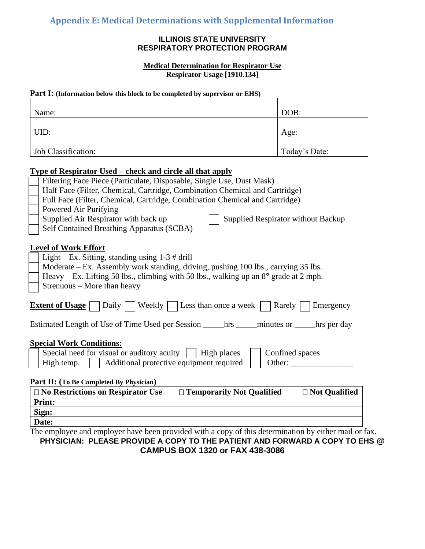### **ILLINOIS STATE UNIVERSITY RESPIRATORY PROTECTION PROGRAM**

**Medical Determination for Respirator Use Respirator Usage [1910.134]**

### <span id="page-25-0"></span>**Part I:** (Information below this block to be completed by supervisor or EHS)

| Name:                                                                                                                                                                                                                                                                                                   | DOB:            |  |  |  |
|---------------------------------------------------------------------------------------------------------------------------------------------------------------------------------------------------------------------------------------------------------------------------------------------------------|-----------------|--|--|--|
| UID:                                                                                                                                                                                                                                                                                                    | Age:            |  |  |  |
| Job Classification:                                                                                                                                                                                                                                                                                     | Today's Date:   |  |  |  |
| <u> Type of Respirator Used – check and circle all that apply</u>                                                                                                                                                                                                                                       |                 |  |  |  |
| Filtering Face Piece (Particulate, Disposable, Single Use, Dust Mask)<br>Half Face (Filter, Chemical, Cartridge, Combination Chemical and Cartridge)                                                                                                                                                    |                 |  |  |  |
| Full Face (Filter, Chemical, Cartridge, Combination Chemical and Cartridge)                                                                                                                                                                                                                             |                 |  |  |  |
| Powered Air Purifying<br>Supplied Air Respirator with back up<br><b>Supplied Respirator without Backup</b>                                                                                                                                                                                              |                 |  |  |  |
| Self Contained Breathing Apparatus (SCBA)                                                                                                                                                                                                                                                               |                 |  |  |  |
| <b>Level of Work Effort</b><br>Light – Ex. Sitting, standing using $1-3 \#$ drill<br>Moderate – Ex. Assembly work standing, driving, pushing 100 lbs., carrying 35 lbs.<br>Heavy – Ex. Lifting 50 lbs., climbing with 50 lbs., walking up an $8^{\circ}$ grade at 2 mph.<br>Strenuous - More than heavy |                 |  |  |  |
| Daily     Weekly     Less than once a week<br><b>Extent of Usage</b><br>Rarely<br>Emergency                                                                                                                                                                                                             |                 |  |  |  |
|                                                                                                                                                                                                                                                                                                         |                 |  |  |  |
| <b>Special Work Conditions:</b><br>Special need for visual or auditory acuity $\parallel$ High places<br>Confined spaces<br>High temp.<br>Additional protective equipment required<br>Other:                                                                                                            |                 |  |  |  |
| Part II: (To Be Completed By Physician)<br>□ No Restrictions on Respirator Use<br>□ Temporarily Not Qualified                                                                                                                                                                                           | □ Not Qualified |  |  |  |
| <b>Print:</b>                                                                                                                                                                                                                                                                                           |                 |  |  |  |
| Sign:                                                                                                                                                                                                                                                                                                   |                 |  |  |  |
| Date:                                                                                                                                                                                                                                                                                                   |                 |  |  |  |

The employee and employer have been provided with a copy of this determination by either mail or fax. **PHYSICIAN: PLEASE PROVIDE A COPY TO THE PATIENT AND FORWARD A COPY TO EHS @ CAMPUS BOX 1320 or FAX 438-3086**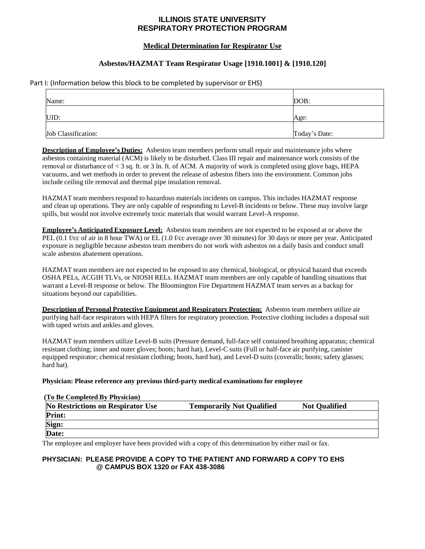### **ILLINOIS STATE UNIVERSITY RESPIRATORY PROTECTION PROGRAM**

### **Medical Determination for Respirator Use**

### **Asbestos/HAZMAT Team Respirator Usage [1910.1001] & [1910.120]**

Part I: (Information below this block to be completed by supervisor or EHS)

| Name:               | DOB:          |
|---------------------|---------------|
| UID:                | Age:          |
| Job Classification: | Today's Date: |

**Description of Employee's Duties:** Asbestos team members perform small repair and maintenance jobs where asbestos containing material (ACM) is likely to be disturbed. Class III repair and maintenance work consists of the removal or disturbance of < 3 sq. ft. or 3 ln. ft. of ACM. A majority of work is completed using glove bags, HEPA vacuums, and wet methods in order to prevent the release of asbestos fibers into the environment. Common jobs include ceiling tile removal and thermal pipe insulation removal.

HAZMAT team members respond to hazardous materials incidents on campus. This includes HAZMAT response and clean up operations. They are only capable of responding to Level-B incidents or below. These may involve large spills, but would not involve extremely toxic materials that would warrant Level-A response.

**Employee's Anticipated Exposure Level:** Asbestos team members are not expected to be exposed at or above the PEL (0.1 f/cc of air in 8 hour TWA) or EL (1.0 f/cc average over 30 minutes) for 30 days or more per year. Anticipated exposure is negligible because asbestos team members do not work with asbestos on a daily basis and conduct small scale asbestos abatement operations.

HAZMAT team members are not expected to be exposed to any chemical, biological, or physical hazard that exceeds OSHA PELs, ACGIH TLVs, or NIOSH RELs. HAZMAT team members are only capable of handling situations that warrant a Level-B response or below. The Bloomington Fire Department HAZMAT team serves as a backup for situations beyond our capabilities.

**Description of Personal Protective Equipment and Respiratory Protection:** Asbestos team members utilize air purifying half-face respirators with HEPA filters for respiratory protection. Protective clothing includes a disposal suit with taped wrists and ankles and gloves.

HAZMAT team members utilize Level-B suits (Pressure demand, full-face self contained breathing apparatus; chemical resistant clothing; inner and outer gloves; boots; hard hat), Level-C suits (Full or half-face air purifying, canister equipped respirator; chemical resistant clothing; boots, hard hat), and Level-D suits (coveralls; boots; safety glasses; hard hat).

#### **Physician: Please reference any previous third-party medical examinations for employee**

#### **(To Be Completed By Physician)**

| <b>No Restrictions on Respirator Use</b> | <b>Temporarily Not Qualified</b> | <b>Not Qualified</b> |
|------------------------------------------|----------------------------------|----------------------|
| <b>Print:</b>                            |                                  |                      |
| Sign:                                    |                                  |                      |
| Date:                                    |                                  |                      |

The employee and employer have been provided with a copy of this determination by either mail or fax.

#### **PHYSICIAN: PLEASE PROVIDE A COPY TO THE PATIENT AND FORWARD A COPY TO EHS @ CAMPUS BOX 1320 or FAX 438-3086**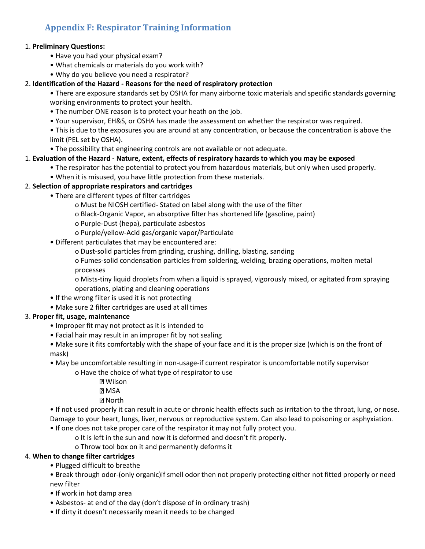# <span id="page-27-0"></span>**Appendix F: Respirator Training Information**

### 1. **Preliminary Questions:**

- Have you had your physical exam?
- What chemicals or materials do you work with?
- Why do you believe you need a respirator?

### 2. **Identification of the Hazard - Reasons for the need of respiratory protection**

- There are exposure standards set by OSHA for many airborne toxic materials and specific standards governing working environments to protect your health.
- The number ONE reason is to protect your heath on the job.
- Your supervisor, EH&S, or OSHA has made the assessment on whether the respirator was required.
- This is due to the exposures you are around at any concentration, or because the concentration is above the limit (PEL set by OSHA).
- The possibility that engineering controls are not available or not adequate.

### 1. **Evaluation of the Hazard - Nature, extent, effects of respiratory hazards to which you may be exposed**

- The respirator has the potential to protect you from hazardous materials, but only when used properly.
- When it is misused, you have little protection from these materials.

### 2. **Selection of appropriate respirators and cartridges**

- There are different types of filter cartridges
	- o Must be NIOSH certified- Stated on label along with the use of the filter
	- o Black-Organic Vapor, an absorptive filter has shortened life (gasoline, paint)
	- o Purple-Dust (hepa), particulate asbestos
	- o Purple/yellow-Acid gas/organic vapor/Particulate
- Different particulates that may be encountered are:
	- o Dust-solid particles from grinding, crushing, drilling, blasting, sanding
	- o Fumes-solid condensation particles from soldering, welding, brazing operations, molten metal processes

o Mists-tiny liquid droplets from when a liquid is sprayed, vigorously mixed, or agitated from spraying operations, plating and cleaning operations

- If the wrong filter is used it is not protecting
- Make sure 2 filter cartridges are used at all times

### 3. **Proper fit, usage, maintenance**

- Improper fit may not protect as it is intended to
- Facial hair may result in an improper fit by not sealing
- Make sure it fits comfortably with the shape of your face and it is the proper size (which is on the front of mask)
- May be uncomfortable resulting in non-usage-if current respirator is uncomfortable notify supervisor
	- o Have the choice of what type of respirator to use
		- **2 Wilson 7** MSA
		- **2 North**

• If not used properly it can result in acute or chronic health effects such as irritation to the throat, lung, or nose. Damage to your heart, lungs, liver, nervous or reproductive system. Can also lead to poisoning or asphyxiation.

- If one does not take proper care of the respirator it may not fully protect you.
	- o It is left in the sun and now it is deformed and doesn't fit properly.
	- o Throw tool box on it and permanently deforms it

### 4. **When to change filter cartridges**

- Plugged difficult to breathe
- Break through odor-(only organic)if smell odor then not properly protecting either not fitted properly or need new filter
- If work in hot damp area
- Asbestos- at end of the day (don't dispose of in ordinary trash)
- If dirty it doesn't necessarily mean it needs to be changed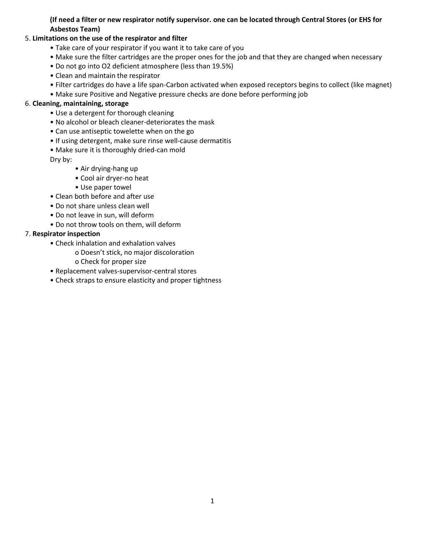### **(If need a filter or new respirator notify supervisor. one can be located through Central Stores (or EHS for Asbestos Team)**

### 5. **Limitations on the use of the respirator and filter**

- Take care of your respirator if you want it to take care of you
- Make sure the filter cartridges are the proper ones for the job and that they are changed when necessary
- Do not go into O2 deficient atmosphere (less than 19.5%)
- Clean and maintain the respirator
- Filter cartridges do have a life span-Carbon activated when exposed receptors begins to collect (like magnet)
- Make sure Positive and Negative pressure checks are done before performing job

### 6. **Cleaning, maintaining, storage**

- Use a detergent for thorough cleaning
- No alcohol or bleach cleaner-deteriorates the mask
- Can use antiseptic towelette when on the go
- If using detergent, make sure rinse well-cause dermatitis
- Make sure it is thoroughly dried-can mold
- Dry by:
	- Air drying-hang up
	- Cool air dryer-no heat
	- Use paper towel
- Clean both before and after use
- Do not share unless clean well
- Do not leave in sun, will deform
- Do not throw tools on them, will deform

### 7. **Respirator inspection**

- Check inhalation and exhalation valves
	- o Doesn't stick, no major discoloration
	- o Check for proper size
- Replacement valves-supervisor-central stores
- Check straps to ensure elasticity and proper tightness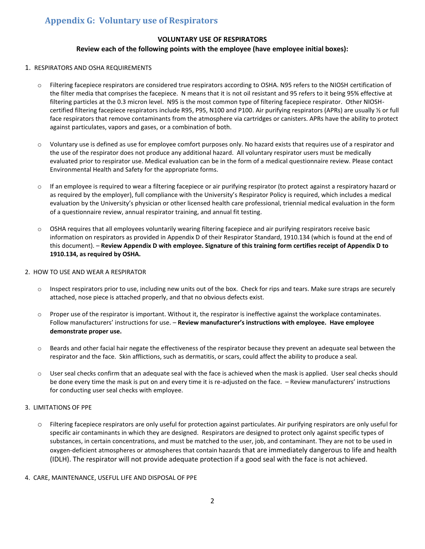# <span id="page-29-0"></span>**Appendix G: Voluntary use of Respirators**

#### **VOLUNTARY USE OF RESPIRATORS**

#### **Review each of the following points with the employee (have employee initial boxes):**

#### 1. RESPIRATORS AND OSHA REQUIREMENTS

- o Filtering facepiece respirators are considered true respirators according to OSHA. N95 refers to the NIOSH certification of the filter media that comprises the facepiece. N means that it is not oil resistant and 95 refers to it being 95% effective at filtering particles at the 0.3 micron level. N95 is the most common type of filtering facepiece respirator. Other NIOSHcertified filtering facepiece respirators include R95, P95, N100 and P100. Air purifying respirators (APRs) are usually 1/2 or full face respirators that remove contaminants from the atmosphere via cartridges or canisters. APRs have the ability to protect against particulates, vapors and gases, or a combination of both.
- o Voluntary use is defined as use for employee comfort purposes only. No hazard exists that requires use of a respirator and the use of the respirator does not produce any additional hazard. All voluntary respirator users must be medically evaluated prior to respirator use. Medical evaluation can be in the form of a medical questionnaire review. Please contact Environmental Health and Safety for the appropriate forms.
- o If an employee is required to wear a filtering facepiece or air purifying respirator (to protect against a respiratory hazard or as required by the employer), full compliance with the University's Respirator Policy is required, which includes a medical evaluation by the University's physician or other licensed health care professional, triennial medical evaluation in the form of a questionnaire review, annual respirator training, and annual fit testing.
- o OSHA requires that all employees voluntarily wearing filtering facepiece and air purifying respirators receive basic information on respirators as provided in Appendix D of their Respirator Standard, 1910.134 (which is found at the end of this document). – **Review Appendix D with employee. Signature of this training form certifies receipt of Appendix D to 1910.134, as required by OSHA.**

#### 2. HOW TO USE AND WEAR A RESPIRATOR

- $\circ$  Inspect respirators prior to use, including new units out of the box. Check for rips and tears. Make sure straps are securely attached, nose piece is attached properly, and that no obvious defects exist.
- $\circ$  Proper use of the respirator is important. Without it, the respirator is ineffective against the workplace contaminates. Follow manufacturers' instructions for use. – **Review manufacturer's instructions with employee. Have employee demonstrate proper use.**
- o Beards and other facial hair negate the effectiveness of the respirator because they prevent an adequate seal between the respirator and the face. Skin afflictions, such as dermatitis, or scars, could affect the ability to produce a seal.
- o User seal checks confirm that an adequate seal with the face is achieved when the mask is applied. User seal checks should be done every time the mask is put on and every time it is re-adjusted on the face. – Review manufacturers' instructions for conducting user seal checks with employee.

#### 3. LIMITATIONS OF PPE

o Filtering facepiece respirators are only useful for protection against particulates. Air purifying respirators are only useful for specific air contaminants in which they are designed. Respirators are designed to protect only against specific types of substances, in certain concentrations, and must be matched to the user, job, and contaminant. They are not to be used in oxygen-deficient atmospheres or atmospheres that contain hazards that are immediately dangerous to life and health (IDLH). The respirator will not provide adequate protection if a good seal with the face is not achieved.

#### 4. CARE, MAINTENANCE, USEFUL LIFE AND DISPOSAL OF PPE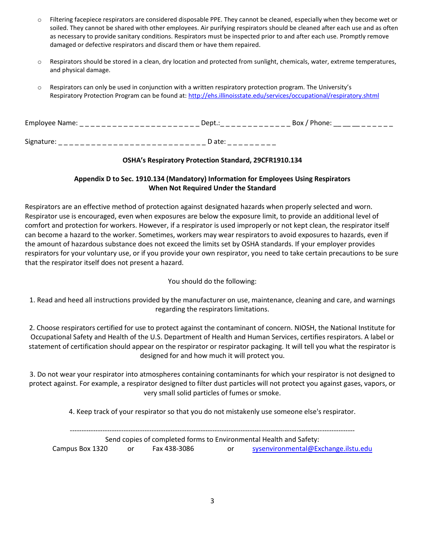- o Filtering facepiece respirators are considered disposable PPE. They cannot be cleaned, especially when they become wet or soiled. They cannot be shared with other employees. Air purifying respirators should be cleaned after each use and as often as necessary to provide sanitary conditions. Respirators must be inspected prior to and after each use. Promptly remove damaged or defective respirators and discard them or have them repaired.
- $\circ$  Respirators should be stored in a clean, dry location and protected from sunlight, chemicals, water, extreme temperatures, and physical damage.
- o Respirators can only be used in conjunction with a written respiratory protection program. The University's Respiratory Protection Program can be found at[: http://ehs.illinoisstate.edu/services/occupational/respiratory.shtml](http://ehs.illinoisstate.edu/services/occupational/respiratory.shtml)

| Employee Name: | Dept.:   | Box / Phone: |  |
|----------------|----------|--------------|--|
|                |          |              |  |
| Signature:     | $D$ ate: |              |  |

### **OSHA's Respiratory Protection Standard, 29CFR1910.134**

### **Appendix D to Sec. 1910.134 (Mandatory) Information for Employees Using Respirators When Not Required Under the Standard**

Respirators are an effective method of protection against designated hazards when properly selected and worn. Respirator use is encouraged, even when exposures are below the exposure limit, to provide an additional level of comfort and protection for workers. However, if a respirator is used improperly or not kept clean, the respirator itself can become a hazard to the worker. Sometimes, workers may wear respirators to avoid exposures to hazards, even if the amount of hazardous substance does not exceed the limits set by OSHA standards. If your employer provides respirators for your voluntary use, or if you provide your own respirator, you need to take certain precautions to be sure that the respirator itself does not present a hazard.

### You should do the following:

1. Read and heed all instructions provided by the manufacturer on use, maintenance, cleaning and care, and warnings regarding the respirators limitations.

2. Choose respirators certified for use to protect against the contaminant of concern. NIOSH, the National Institute for Occupational Safety and Health of the U.S. Department of Health and Human Services, certifies respirators. A label or statement of certification should appear on the respirator or respirator packaging. It will tell you what the respirator is designed for and how much it will protect you.

3. Do not wear your respirator into atmospheres containing contaminants for which your respirator is not designed to protect against. For example, a respirator designed to filter dust particles will not protect you against gases, vapors, or very small solid particles of fumes or smoke.

4. Keep track of your respirator so that you do not mistakenly use someone else's respirator.

-------------------------------------------------------------------------------------------------------------------------- Send copies of completed forms to Environmental Health and Safety: Campus Box 1320 or Fax 438-3086 or [sysenvironmental@Exchange.ilstu.edu](mailto:sysenvironmental@Exchange.ilstu.edu)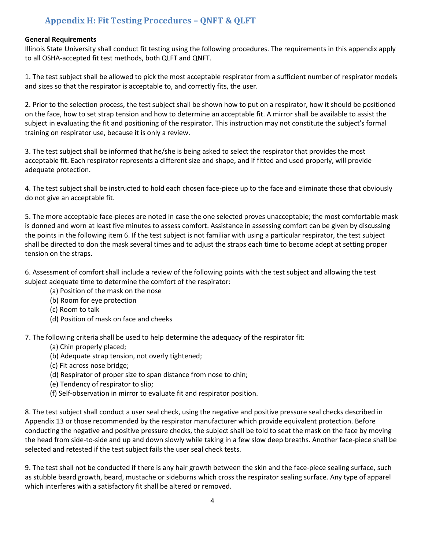# **Appendix H: Fit Testing Procedures – QNFT & QLFT**

### <span id="page-31-0"></span>**General Requirements**

Illinois State University shall conduct fit testing using the following procedures. The requirements in this appendix apply to all OSHA-accepted fit test methods, both QLFT and QNFT.

1. The test subject shall be allowed to pick the most acceptable respirator from a sufficient number of respirator models and sizes so that the respirator is acceptable to, and correctly fits, the user.

2. Prior to the selection process, the test subject shall be shown how to put on a respirator, how it should be positioned on the face, how to set strap tension and how to determine an acceptable fit. A mirror shall be available to assist the subject in evaluating the fit and positioning of the respirator. This instruction may not constitute the subject's formal training on respirator use, because it is only a review.

3. The test subject shall be informed that he/she is being asked to select the respirator that provides the most acceptable fit. Each respirator represents a different size and shape, and if fitted and used properly, will provide adequate protection.

4. The test subject shall be instructed to hold each chosen face-piece up to the face and eliminate those that obviously do not give an acceptable fit.

5. The more acceptable face-pieces are noted in case the one selected proves unacceptable; the most comfortable mask is donned and worn at least five minutes to assess comfort. Assistance in assessing comfort can be given by discussing the points in the following item 6. If the test subject is not familiar with using a particular respirator, the test subject shall be directed to don the mask several times and to adjust the straps each time to become adept at setting proper tension on the straps.

6. Assessment of comfort shall include a review of the following points with the test subject and allowing the test subject adequate time to determine the comfort of the respirator:

- (a) Position of the mask on the nose
- (b) Room for eye protection
- (c) Room to talk
- (d) Position of mask on face and cheeks

7. The following criteria shall be used to help determine the adequacy of the respirator fit:

- (a) Chin properly placed;
- (b) Adequate strap tension, not overly tightened;
- (c) Fit across nose bridge;
- (d) Respirator of proper size to span distance from nose to chin;
- (e) Tendency of respirator to slip;
- (f) Self-observation in mirror to evaluate fit and respirator position.

8. The test subject shall conduct a user seal check, using the negative and positive pressure seal checks described in Appendix 13 or those recommended by the respirator manufacturer which provide equivalent protection. Before conducting the negative and positive pressure checks, the subject shall be told to seat the mask on the face by moving the head from side-to-side and up and down slowly while taking in a few slow deep breaths. Another face-piece shall be selected and retested if the test subject fails the user seal check tests.

9. The test shall not be conducted if there is any hair growth between the skin and the face-piece sealing surface, such as stubble beard growth, beard, mustache or sideburns which cross the respirator sealing surface. Any type of apparel which interferes with a satisfactory fit shall be altered or removed.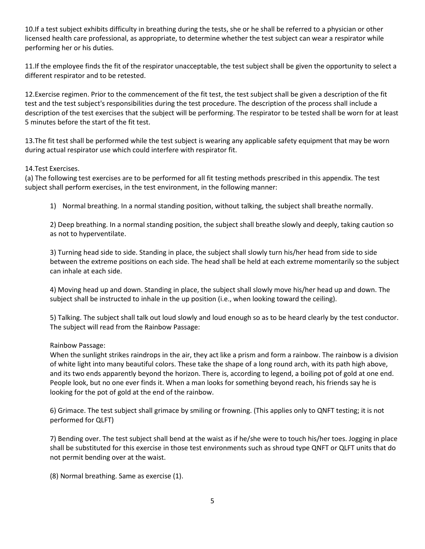10.If a test subject exhibits difficulty in breathing during the tests, she or he shall be referred to a physician or other licensed health care professional, as appropriate, to determine whether the test subject can wear a respirator while performing her or his duties.

11.If the employee finds the fit of the respirator unacceptable, the test subject shall be given the opportunity to select a different respirator and to be retested.

12.Exercise regimen. Prior to the commencement of the fit test, the test subject shall be given a description of the fit test and the test subject's responsibilities during the test procedure. The description of the process shall include a description of the test exercises that the subject will be performing. The respirator to be tested shall be worn for at least 5 minutes before the start of the fit test.

13.The fit test shall be performed while the test subject is wearing any applicable safety equipment that may be worn during actual respirator use which could interfere with respirator fit.

#### 14.Test Exercises.

(a) The following test exercises are to be performed for all fit testing methods prescribed in this appendix. The test subject shall perform exercises, in the test environment, in the following manner:

1) Normal breathing. In a normal standing position, without talking, the subject shall breathe normally.

2) Deep breathing. In a normal standing position, the subject shall breathe slowly and deeply, taking caution so as not to hyperventilate.

3) Turning head side to side. Standing in place, the subject shall slowly turn his/her head from side to side between the extreme positions on each side. The head shall be held at each extreme momentarily so the subject can inhale at each side.

4) Moving head up and down. Standing in place, the subject shall slowly move his/her head up and down. The subject shall be instructed to inhale in the up position (i.e., when looking toward the ceiling).

5) Talking. The subject shall talk out loud slowly and loud enough so as to be heard clearly by the test conductor. The subject will read from the Rainbow Passage:

### Rainbow Passage:

When the sunlight strikes raindrops in the air, they act like a prism and form a rainbow. The rainbow is a division of white light into many beautiful colors. These take the shape of a long round arch, with its path high above, and its two ends apparently beyond the horizon. There is, according to legend, a boiling pot of gold at one end. People look, but no one ever finds it. When a man looks for something beyond reach, his friends say he is looking for the pot of gold at the end of the rainbow.

6) Grimace. The test subject shall grimace by smiling or frowning. (This applies only to QNFT testing; it is not performed for QLFT)

7) Bending over. The test subject shall bend at the waist as if he/she were to touch his/her toes. Jogging in place shall be substituted for this exercise in those test environments such as shroud type QNFT or QLFT units that do not permit bending over at the waist.

(8) Normal breathing. Same as exercise (1).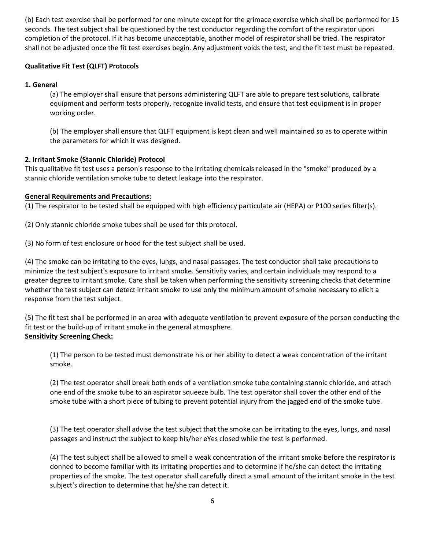(b) Each test exercise shall be performed for one minute except for the grimace exercise which shall be performed for 15 seconds. The test subject shall be questioned by the test conductor regarding the comfort of the respirator upon completion of the protocol. If it has become unacceptable, another model of respirator shall be tried. The respirator shall not be adjusted once the fit test exercises begin. Any adjustment voids the test, and the fit test must be repeated.

### **Qualitative Fit Test (QLFT) Protocols**

### **1. General**

(a) The employer shall ensure that persons administering QLFT are able to prepare test solutions, calibrate equipment and perform tests properly, recognize invalid tests, and ensure that test equipment is in proper working order.

(b) The employer shall ensure that QLFT equipment is kept clean and well maintained so as to operate within the parameters for which it was designed.

### **2. Irritant Smoke (Stannic Chloride) Protocol**

This qualitative fit test uses a person's response to the irritating chemicals released in the "smoke" produced by a stannic chloride ventilation smoke tube to detect leakage into the respirator.

### **General Requirements and Precautions:**

(1) The respirator to be tested shall be equipped with high efficiency particulate air (HEPA) or P100 series filter(s).

(2) Only stannic chloride smoke tubes shall be used for this protocol.

(3) No form of test enclosure or hood for the test subject shall be used.

(4) The smoke can be irritating to the eyes, lungs, and nasal passages. The test conductor shall take precautions to minimize the test subject's exposure to irritant smoke. Sensitivity varies, and certain individuals may respond to a greater degree to irritant smoke. Care shall be taken when performing the sensitivity screening checks that determine whether the test subject can detect irritant smoke to use only the minimum amount of smoke necessary to elicit a response from the test subject.

(5) The fit test shall be performed in an area with adequate ventilation to prevent exposure of the person conducting the fit test or the build-up of irritant smoke in the general atmosphere. **Sensitivity Screening Check:** 

(1) The person to be tested must demonstrate his or her ability to detect a weak concentration of the irritant smoke.

(2) The test operator shall break both ends of a ventilation smoke tube containing stannic chloride, and attach one end of the smoke tube to an aspirator squeeze bulb. The test operator shall cover the other end of the smoke tube with a short piece of tubing to prevent potential injury from the jagged end of the smoke tube.

(3) The test operator shall advise the test subject that the smoke can be irritating to the eyes, lungs, and nasal passages and instruct the subject to keep his/her eYes closed while the test is performed.

(4) The test subject shall be allowed to smell a weak concentration of the irritant smoke before the respirator is donned to become familiar with its irritating properties and to determine if he/she can detect the irritating properties of the smoke. The test operator shall carefully direct a small amount of the irritant smoke in the test subject's direction to determine that he/she can detect it.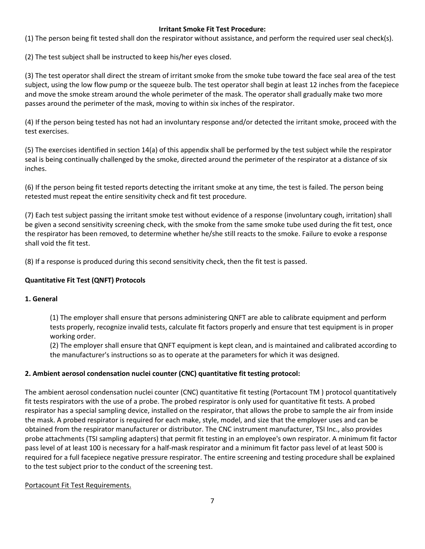### **Irritant Smoke Fit Test Procedure:**

(1) The person being fit tested shall don the respirator without assistance, and perform the required user seal check(s).

(2) The test subject shall be instructed to keep his/her eyes closed.

(3) The test operator shall direct the stream of irritant smoke from the smoke tube toward the face seal area of the test subject, using the low flow pump or the squeeze bulb. The test operator shall begin at least 12 inches from the facepiece and move the smoke stream around the whole perimeter of the mask. The operator shall gradually make two more passes around the perimeter of the mask, moving to within six inches of the respirator.

(4) If the person being tested has not had an involuntary response and/or detected the irritant smoke, proceed with the test exercises.

(5) The exercises identified in section 14(a) of this appendix shall be performed by the test subject while the respirator seal is being continually challenged by the smoke, directed around the perimeter of the respirator at a distance of six inches.

(6) If the person being fit tested reports detecting the irritant smoke at any time, the test is failed. The person being retested must repeat the entire sensitivity check and fit test procedure.

(7) Each test subject passing the irritant smoke test without evidence of a response (involuntary cough, irritation) shall be given a second sensitivity screening check, with the smoke from the same smoke tube used during the fit test, once the respirator has been removed, to determine whether he/she still reacts to the smoke. Failure to evoke a response shall void the fit test.

(8) If a response is produced during this second sensitivity check, then the fit test is passed.

### **Quantitative Fit Test (QNFT) Protocols**

### **1. General**

(1) The employer shall ensure that persons administering QNFT are able to calibrate equipment and perform tests properly, recognize invalid tests, calculate fit factors properly and ensure that test equipment is in proper working order.

(2) The employer shall ensure that QNFT equipment is kept clean, and is maintained and calibrated according to the manufacturer's instructions so as to operate at the parameters for which it was designed.

### **2. Ambient aerosol condensation nuclei counter (CNC) quantitative fit testing protocol:**

The ambient aerosol condensation nuclei counter (CNC) quantitative fit testing (Portacount TM ) protocol quantitatively fit tests respirators with the use of a probe. The probed respirator is only used for quantitative fit tests. A probed respirator has a special sampling device, installed on the respirator, that allows the probe to sample the air from inside the mask. A probed respirator is required for each make, style, model, and size that the employer uses and can be obtained from the respirator manufacturer or distributor. The CNC instrument manufacturer, TSI Inc., also provides probe attachments (TSI sampling adapters) that permit fit testing in an employee's own respirator. A minimum fit factor pass level of at least 100 is necessary for a half-mask respirator and a minimum fit factor pass level of at least 500 is required for a full facepiece negative pressure respirator. The entire screening and testing procedure shall be explained to the test subject prior to the conduct of the screening test.

Portacount Fit Test Requirements.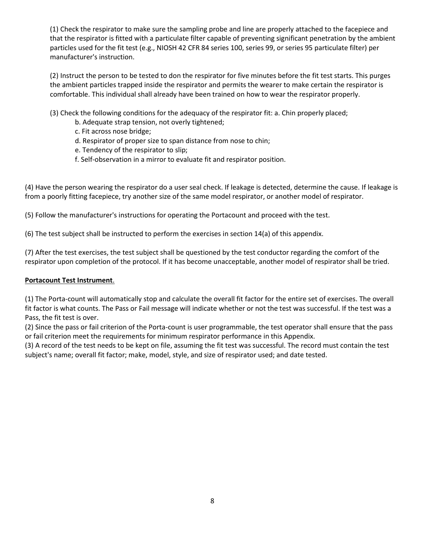(1) Check the respirator to make sure the sampling probe and line are properly attached to the facepiece and that the respirator is fitted with a particulate filter capable of preventing significant penetration by the ambient particles used for the fit test (e.g., NIOSH 42 CFR 84 series 100, series 99, or series 95 particulate filter) per manufacturer's instruction.

(2) Instruct the person to be tested to don the respirator for five minutes before the fit test starts. This purges the ambient particles trapped inside the respirator and permits the wearer to make certain the respirator is comfortable. This individual shall already have been trained on how to wear the respirator properly.

(3) Check the following conditions for the adequacy of the respirator fit: a. Chin properly placed;

- b. Adequate strap tension, not overly tightened;
- c. Fit across nose bridge;
- d. Respirator of proper size to span distance from nose to chin;
- e. Tendency of the respirator to slip;
- f. Self-observation in a mirror to evaluate fit and respirator position.

(4) Have the person wearing the respirator do a user seal check. If leakage is detected, determine the cause. If leakage is from a poorly fitting facepiece, try another size of the same model respirator, or another model of respirator.

(5) Follow the manufacturer's instructions for operating the Portacount and proceed with the test.

(6) The test subject shall be instructed to perform the exercises in section 14(a) of this appendix.

(7) After the test exercises, the test subject shall be questioned by the test conductor regarding the comfort of the respirator upon completion of the protocol. If it has become unacceptable, another model of respirator shall be tried.

### **Portacount Test Instrument**.

(1) The Porta-count will automatically stop and calculate the overall fit factor for the entire set of exercises. The overall fit factor is what counts. The Pass or Fail message will indicate whether or not the test was successful. If the test was a Pass, the fit test is over.

(2) Since the pass or fail criterion of the Porta-count is user programmable, the test operator shall ensure that the pass or fail criterion meet the requirements for minimum respirator performance in this Appendix.

(3) A record of the test needs to be kept on file, assuming the fit test was successful. The record must contain the test subject's name; overall fit factor; make, model, style, and size of respirator used; and date tested.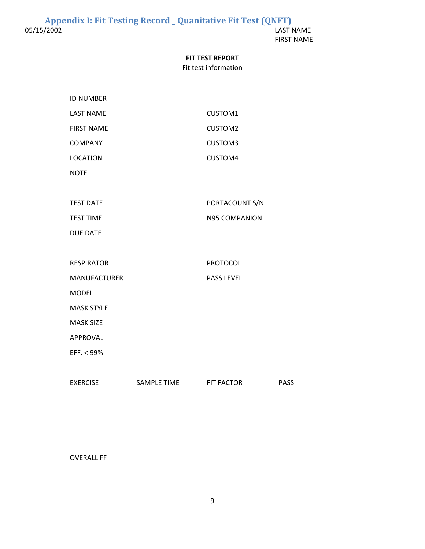FIRST NAME

#### **FIT TEST REPORT**

#### Fit test information

<span id="page-36-0"></span>

| <b>ID NUMBER</b>    |                      |
|---------------------|----------------------|
| <b>LAST NAME</b>    | CUSTOM1              |
| <b>FIRST NAME</b>   | <b>CUSTOM2</b>       |
| <b>COMPANY</b>      | CUSTOM3              |
| <b>LOCATION</b>     | CUSTOM4              |
| <b>NOTE</b>         |                      |
|                     |                      |
| <b>TEST DATE</b>    | PORTACOUNT S/N       |
| <b>TEST TIME</b>    | <b>N95 COMPANION</b> |
| <b>DUE DATE</b>     |                      |
|                     |                      |
| <b>RESPIRATOR</b>   | <b>PROTOCOL</b>      |
| <b>MANUFACTURER</b> | <b>PASS LEVEL</b>    |
| <b>MODEL</b>        |                      |
| <b>MASK STYLE</b>   |                      |
| <b>MASK SIZE</b>    |                      |
| <b>APPROVAL</b>     |                      |
| EFF. < 99%          |                      |
|                     |                      |
|                     |                      |

EXERCISE SAMPLE TIME FIT FACTOR PASS

### OVERALL FF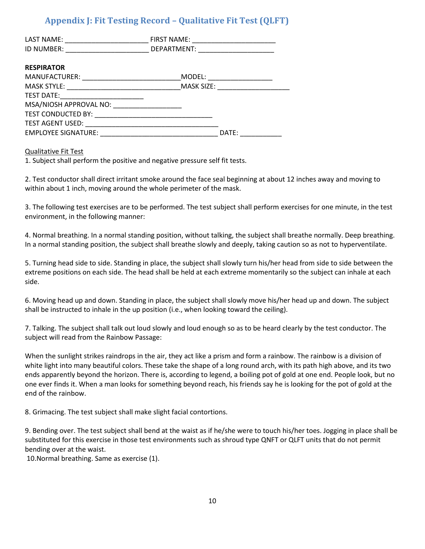# **Appendix J: Fit Testing Record – Qualitative Fit Test (QLFT)**

<span id="page-37-0"></span>

| LAST NAME:<br>ID NUMBER:   | FIRST NAME:<br>DEPARTMENT: |
|----------------------------|----------------------------|
| <b>RESPIRATOR</b>          |                            |
| MANUFACTURER:              | MODEL:                     |
| <b>MASK STYLE:</b>         | MASK SIZE:                 |
| TEST DATE:                 |                            |
| MSA/NIOSH APPROVAL NO:     |                            |
| TEST CONDUCTED BY:         |                            |
| <b>TEST AGENT USED:</b>    |                            |
| <b>EMPLOYEE SIGNATURE:</b> | DATE:                      |

#### Qualitative Fit Test

1. Subject shall perform the positive and negative pressure self fit tests.

2. Test conductor shall direct irritant smoke around the face seal beginning at about 12 inches away and moving to within about 1 inch, moving around the whole perimeter of the mask.

3. The following test exercises are to be performed. The test subject shall perform exercises for one minute, in the test environment, in the following manner:

4. Normal breathing. In a normal standing position, without talking, the subject shall breathe normally. Deep breathing. In a normal standing position, the subject shall breathe slowly and deeply, taking caution so as not to hyperventilate.

5. Turning head side to side. Standing in place, the subject shall slowly turn his/her head from side to side between the extreme positions on each side. The head shall be held at each extreme momentarily so the subject can inhale at each side.

6. Moving head up and down. Standing in place, the subject shall slowly move his/her head up and down. The subject shall be instructed to inhale in the up position (i.e., when looking toward the ceiling).

7. Talking. The subject shall talk out loud slowly and loud enough so as to be heard clearly by the test conductor. The subject will read from the Rainbow Passage:

When the sunlight strikes raindrops in the air, they act like a prism and form a rainbow. The rainbow is a division of white light into many beautiful colors. These take the shape of a long round arch, with its path high above, and its two ends apparently beyond the horizon. There is, according to legend, a boiling pot of gold at one end. People look, but no one ever finds it. When a man looks for something beyond reach, his friends say he is looking for the pot of gold at the end of the rainbow.

8. Grimacing. The test subject shall make slight facial contortions.

9. Bending over. The test subject shall bend at the waist as if he/she were to touch his/her toes. Jogging in place shall be substituted for this exercise in those test environments such as shroud type QNFT or QLFT units that do not permit bending over at the waist.

10.Normal breathing. Same as exercise (1).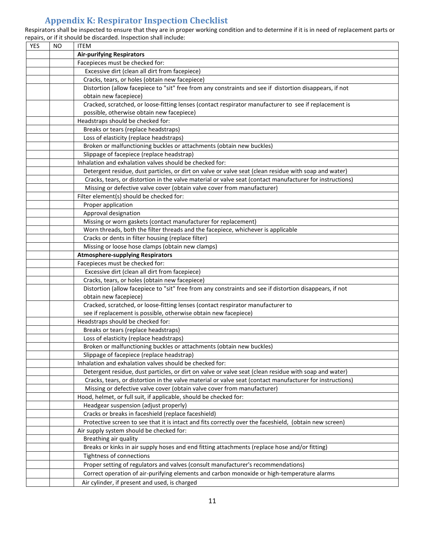# **Appendix K: Respirator Inspection Checklist**

<span id="page-38-0"></span>Respirators shall be inspected to ensure that they are in proper working condition and to determine if it is in need of replacement parts or repairs, or if it should be discarded. Inspection shall include:

| <b>YES</b> | <b>NO</b> | <b>ITEM</b>                                                                                              |
|------------|-----------|----------------------------------------------------------------------------------------------------------|
|            |           | <b>Air-purifying Respirators</b>                                                                         |
|            |           | Facepieces must be checked for:                                                                          |
|            |           | Excessive dirt (clean all dirt from facepiece)                                                           |
|            |           | Cracks, tears, or holes (obtain new facepiece)                                                           |
|            |           | Distortion (allow facepiece to "sit" free from any constraints and see if distortion disappears, if not  |
|            |           | obtain new facepiece)                                                                                    |
|            |           | Cracked, scratched, or loose-fitting lenses (contact respirator manufacturer to see if replacement is    |
|            |           | possible, otherwise obtain new facepiece)                                                                |
|            |           | Headstraps should be checked for:                                                                        |
|            |           | Breaks or tears (replace headstraps)                                                                     |
|            |           | Loss of elasticity (replace headstraps)                                                                  |
|            |           | Broken or malfunctioning buckles or attachments (obtain new buckles)                                     |
|            |           | Slippage of facepiece (replace headstrap)                                                                |
|            |           | Inhalation and exhalation valves should be checked for:                                                  |
|            |           | Detergent residue, dust particles, or dirt on valve or valve seat (clean residue with soap and water)    |
|            |           | Cracks, tears, or distortion in the valve material or valve seat (contact manufacturer for instructions) |
|            |           | Missing or defective valve cover (obtain valve cover from manufacturer)                                  |
|            |           | Filter element(s) should be checked for:                                                                 |
|            |           | Proper application                                                                                       |
|            |           | Approval designation                                                                                     |
|            |           | Missing or worn gaskets (contact manufacturer for replacement)                                           |
|            |           | Worn threads, both the filter threads and the facepiece, whichever is applicable                         |
|            |           | Cracks or dents in filter housing (replace filter)                                                       |
|            |           | Missing or loose hose clamps (obtain new clamps)                                                         |
|            |           | <b>Atmosphere-supplying Respirators</b>                                                                  |
|            |           | Facepieces must be checked for:                                                                          |
|            |           | Excessive dirt (clean all dirt from facepiece)                                                           |
|            |           | Cracks, tears, or holes (obtain new facepiece)                                                           |
|            |           | Distortion (allow facepiece to "sit" free from any constraints and see if distortion disappears, if not  |
|            |           | obtain new facepiece)                                                                                    |
|            |           | Cracked, scratched, or loose-fitting lenses (contact respirator manufacturer to                          |
|            |           | see if replacement is possible, otherwise obtain new facepiece)                                          |
|            |           | Headstraps should be checked for:                                                                        |
|            |           | Breaks or tears (replace headstraps)                                                                     |
|            |           | Loss of elasticity (replace headstraps)                                                                  |
|            |           | Broken or malfunctioning buckles or attachments (obtain new buckles)                                     |
|            |           | Slippage of facepiece (replace headstrap)                                                                |
|            |           | Inhalation and exhalation valves should be checked for:                                                  |
|            |           | Detergent residue, dust particles, or dirt on valve or valve seat (clean residue with soap and water)    |
|            |           | Cracks, tears, or distortion in the valve material or valve seat (contact manufacturer for instructions) |
|            |           | Missing or defective valve cover (obtain valve cover from manufacturer)                                  |
|            |           | Hood, helmet, or full suit, if applicable, should be checked for:                                        |
|            |           | Headgear suspension (adjust properly)                                                                    |
|            |           | Cracks or breaks in faceshield (replace faceshield)                                                      |
|            |           | Protective screen to see that it is intact and fits correctly over the faceshield, (obtain new screen)   |
|            |           | Air supply system should be checked for:                                                                 |
|            |           | Breathing air quality                                                                                    |
|            |           | Breaks or kinks in air supply hoses and end fitting attachments (replace hose and/or fitting)            |
|            |           | Tightness of connections                                                                                 |
|            |           | Proper setting of regulators and valves (consult manufacturer's recommendations)                         |
|            |           | Correct operation of air-purifying elements and carbon monoxide or high-temperature alarms               |
|            |           | Air cylinder, if present and used, is charged                                                            |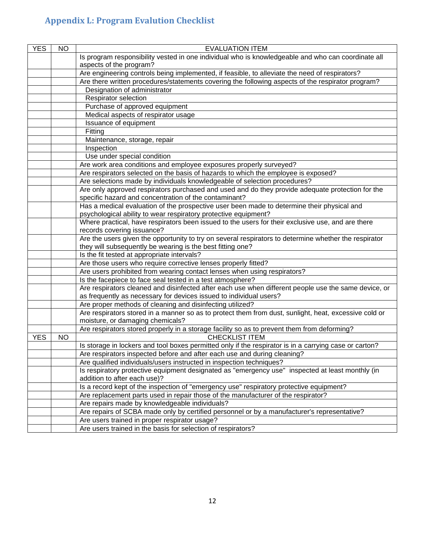# <span id="page-39-0"></span>**Appendix L: Program Evalution Checklist**

| <b>YES</b> | <b>NO</b> | <b>EVALUATION ITEM</b>                                                                                                          |
|------------|-----------|---------------------------------------------------------------------------------------------------------------------------------|
|            |           | Is program responsibility vested in one individual who is knowledgeable and who can coordinate all                              |
|            |           | aspects of the program?                                                                                                         |
|            |           | Are engineering controls being implemented, if feasible, to alleviate the need of respirators?                                  |
|            |           | Are there written procedures/statements covering the following aspects of the respirator program?                               |
|            |           | Designation of administrator                                                                                                    |
|            |           | Respirator selection                                                                                                            |
|            |           | Purchase of approved equipment                                                                                                  |
|            |           | Medical aspects of respirator usage                                                                                             |
|            |           | Issuance of equipment                                                                                                           |
|            |           | Fitting                                                                                                                         |
|            |           | Maintenance, storage, repair                                                                                                    |
|            |           | Inspection                                                                                                                      |
|            |           | Use under special condition                                                                                                     |
|            |           | Are work area conditions and employee exposures properly surveyed?                                                              |
|            |           | Are respirators selected on the basis of hazards to which the employee is exposed?                                              |
|            |           | Are selections made by individuals knowledgeable of selection procedures?                                                       |
|            |           | Are only approved respirators purchased and used and do they provide adequate protection for the                                |
|            |           | specific hazard and concentration of the contaminant?                                                                           |
|            |           | Has a medical evaluation of the prospective user been made to determine their physical and                                      |
|            |           | psychological ability to wear respiratory protective equipment?                                                                 |
|            |           | Where practical, have respirators been issued to the users for their exclusive use, and are there                               |
|            |           | records covering issuance?                                                                                                      |
|            |           | Are the users given the opportunity to try on several respirators to determine whether the respirator                           |
|            |           | they will subsequently be wearing is the best fitting one?                                                                      |
|            |           | Is the fit tested at appropriate intervals?                                                                                     |
|            |           | Are those users who require corrective lenses properly fitted?                                                                  |
|            |           | Are users prohibited from wearing contact lenses when using respirators?                                                        |
|            |           | Is the facepiece to face seal tested in a test atmosphere?                                                                      |
|            |           | Are respirators cleaned and disinfected after each use when different people use the same device, or                            |
|            |           | as frequently as necessary for devices issued to individual users?                                                              |
|            |           | Are proper methods of cleaning and disinfecting utilized?                                                                       |
|            |           | Are respirators stored in a manner so as to protect them from dust, sunlight, heat, excessive cold or                           |
|            |           | moisture, or damaging chemicals?<br>Are respirators stored properly in a storage facility so as to prevent them from deforming? |
| <b>YES</b> | <b>NO</b> | <b>CHECKLIST ITEM</b>                                                                                                           |
|            |           | Is storage in lockers and tool boxes permitted only if the respirator is in a carrying case or carton?                          |
|            |           | Are respirators inspected before and after each use and during cleaning?                                                        |
|            |           | Are qualified individuals/users instructed in inspection techniques?                                                            |
|            |           | Is respiratory protective equipment designated as "emergency use" inspected at least monthly (in                                |
|            |           | addition to after each use)?                                                                                                    |
|            |           | Is a record kept of the inspection of "emergency use" respiratory protective equipment?                                         |
|            |           | Are replacement parts used in repair those of the manufacturer of the respirator?                                               |
|            |           | Are repairs made by knowledgeable individuals?                                                                                  |
|            |           | Are repairs of SCBA made only by certified personnel or by a manufacturer's representative?                                     |
|            |           | Are users trained in proper respirator usage?                                                                                   |
|            |           | Are users trained in the basis for selection of respirators?                                                                    |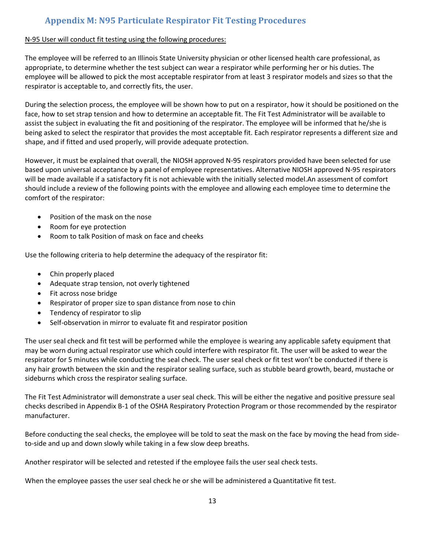# **Appendix M: N95 Particulate Respirator Fit Testing Procedures**

### <span id="page-40-0"></span>N-95 User will conduct fit testing using the following procedures:

The employee will be referred to an Illinois State University physician or other licensed health care professional, as appropriate, to determine whether the test subject can wear a respirator while performing her or his duties. The employee will be allowed to pick the most acceptable respirator from at least 3 respirator models and sizes so that the respirator is acceptable to, and correctly fits, the user.

During the selection process, the employee will be shown how to put on a respirator, how it should be positioned on the face, how to set strap tension and how to determine an acceptable fit. The Fit Test Administrator will be available to assist the subject in evaluating the fit and positioning of the respirator. The employee will be informed that he/she is being asked to select the respirator that provides the most acceptable fit. Each respirator represents a different size and shape, and if fitted and used properly, will provide adequate protection.

However, it must be explained that overall, the NIOSH approved N-95 respirators provided have been selected for use based upon universal acceptance by a panel of employee representatives. Alternative NIOSH approved N-95 respirators will be made available if a satisfactory fit is not achievable with the initially selected model.An assessment of comfort should include a review of the following points with the employee and allowing each employee time to determine the comfort of the respirator:

- Position of the mask on the nose
- Room for eye protection
- Room to talk Position of mask on face and cheeks

Use the following criteria to help determine the adequacy of the respirator fit:

- Chin properly placed
- Adequate strap tension, not overly tightened
- Fit across nose bridge
- Respirator of proper size to span distance from nose to chin
- Tendency of respirator to slip
- Self-observation in mirror to evaluate fit and respirator position

The user seal check and fit test will be performed while the employee is wearing any applicable safety equipment that may be worn during actual respirator use which could interfere with respirator fit. The user will be asked to wear the respirator for 5 minutes while conducting the seal check. The user seal check or fit test won't be conducted if there is any hair growth between the skin and the respirator sealing surface, such as stubble beard growth, beard, mustache or sideburns which cross the respirator sealing surface.

The Fit Test Administrator will demonstrate a user seal check. This will be either the negative and positive pressure seal checks described in Appendix B-1 of the OSHA Respiratory Protection Program or those recommended by the respirator manufacturer.

Before conducting the seal checks, the employee will be told to seat the mask on the face by moving the head from sideto-side and up and down slowly while taking in a few slow deep breaths.

Another respirator will be selected and retested if the employee fails the user seal check tests.

When the employee passes the user seal check he or she will be administered a Quantitative fit test.